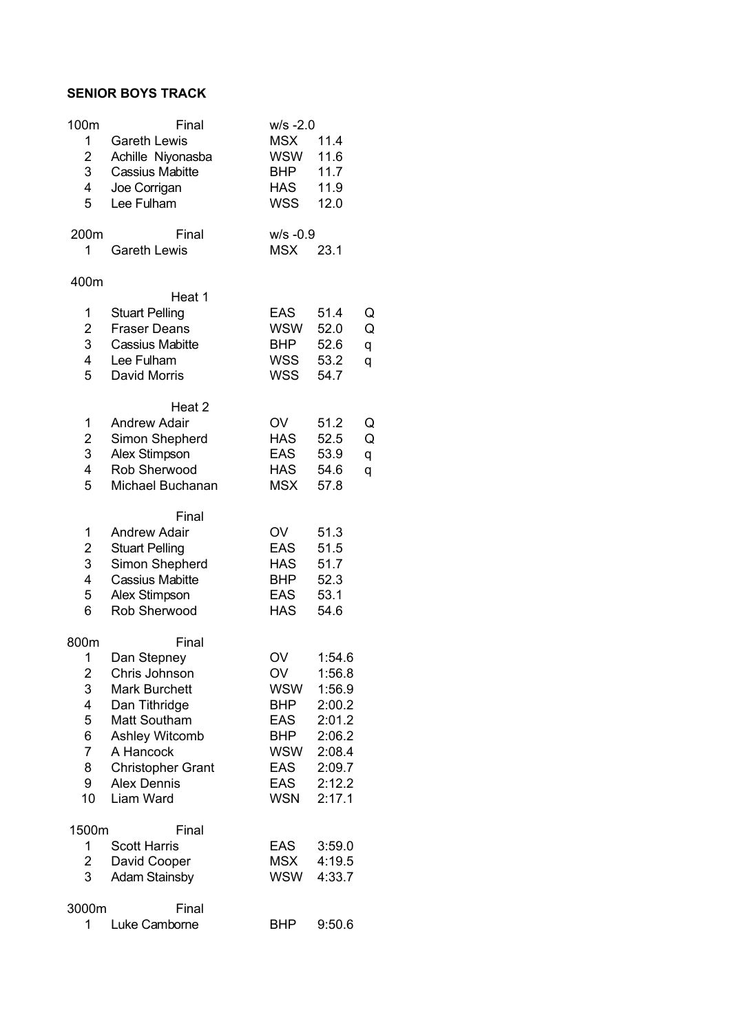## **SENIOR BOYS TRACK**

| 100m                         | Final                                        | $w/s - 2.0$              |                  |        |
|------------------------------|----------------------------------------------|--------------------------|------------------|--------|
| 1                            | <b>Gareth Lewis</b>                          | <b>MSX</b><br>WSW        | 11.4<br>11.6     |        |
| $\overline{\mathbf{c}}$<br>3 | Achille Niyonasba<br><b>Cassius Mabitte</b>  | <b>BHP</b>               | 11.7             |        |
| 4                            | Joe Corrigan                                 | <b>HAS</b>               | 11.9             |        |
| 5                            | Lee Fulham                                   | WSS                      | 12.0             |        |
| 200m                         | Final                                        | $W/S -0.9$               |                  |        |
| 1                            | <b>Gareth Lewis</b>                          | <b>MSX</b>               | 23.1             |        |
| 400m                         |                                              |                          |                  |        |
|                              | Heat 1                                       |                          |                  |        |
| 1<br>$\overline{\mathbf{c}}$ | <b>Stuart Pelling</b><br><b>Fraser Deans</b> | EAS<br><b>WSW</b>        | 51.4<br>52.0     | Q<br>Q |
| 3                            | Cassius Mabitte                              | <b>BHP</b>               | 52.6             | q      |
| 4                            | Lee Fulham                                   | WSS                      | 53.2             | q      |
| 5                            | David Morris                                 | <b>WSS</b>               | 54.7             |        |
|                              | Heat <sub>2</sub>                            |                          |                  |        |
| 1                            | <b>Andrew Adair</b>                          | OV                       | 51.2             | Q      |
| $\overline{\mathbf{c}}$<br>3 | Simon Shepherd<br>Alex Stimpson              | <b>HAS</b><br><b>EAS</b> | 52.5<br>53.9     | Q      |
| 4                            | Rob Sherwood                                 | <b>HAS</b>               | 54.6             | q<br>q |
| 5                            | Michael Buchanan                             | <b>MSX</b>               | 57.8             |        |
|                              | Final                                        |                          |                  |        |
| 1                            | <b>Andrew Adair</b>                          | OV                       | 51.3             |        |
| $\overline{\mathbf{c}}$      | <b>Stuart Pelling</b>                        | <b>EAS</b>               | 51.5             |        |
| 3<br>4                       | Simon Shepherd                               | <b>HAS</b>               | 51.7             |        |
| 5                            | <b>Cassius Mabitte</b><br>Alex Stimpson      | <b>BHP</b><br>EAS        | 52.3<br>53.1     |        |
| 6                            | Rob Sherwood                                 | <b>HAS</b>               | 54.6             |        |
| 800m                         | Final                                        |                          |                  |        |
| 1                            | Dan Stepney                                  | OV                       | 1:54.6           |        |
| 2                            | Chris Johnson                                | OV                       | 1:56.8           |        |
| 3                            | <b>Mark Burchett</b>                         | WSW                      | 1:56.9           |        |
| 4<br>5                       | Dan Tithridge<br>Matt Southam                | <b>BHP</b><br>EAS        | 2:00.2<br>2:01.2 |        |
| 6                            | Ashley Witcomb                               | <b>BHP</b>               | 2:06.2           |        |
| 7                            | A Hancock                                    | WSW                      | 2:08.4           |        |
| 8                            | <b>Christopher Grant</b>                     | EAS                      | 2:09.7           |        |
| 9                            | <b>Alex Dennis</b>                           | <b>EAS</b>               | 2:12.2           |        |
| 10                           | Liam Ward                                    | <b>WSN</b>               | 2:17.1           |        |
| 1500m                        | Final                                        |                          |                  |        |
| 1<br>$\overline{\mathbf{c}}$ | <b>Scott Harris</b>                          | <b>EAS</b><br>MSX        | 3:59.0<br>4:19.5 |        |
| 3                            | David Cooper<br><b>Adam Stainsby</b>         | WSW                      | 4:33.7           |        |
| 3000m                        | Final                                        |                          |                  |        |
| 1                            | Luke Camborne                                | <b>BHP</b>               | 9:50.6           |        |
|                              |                                              |                          |                  |        |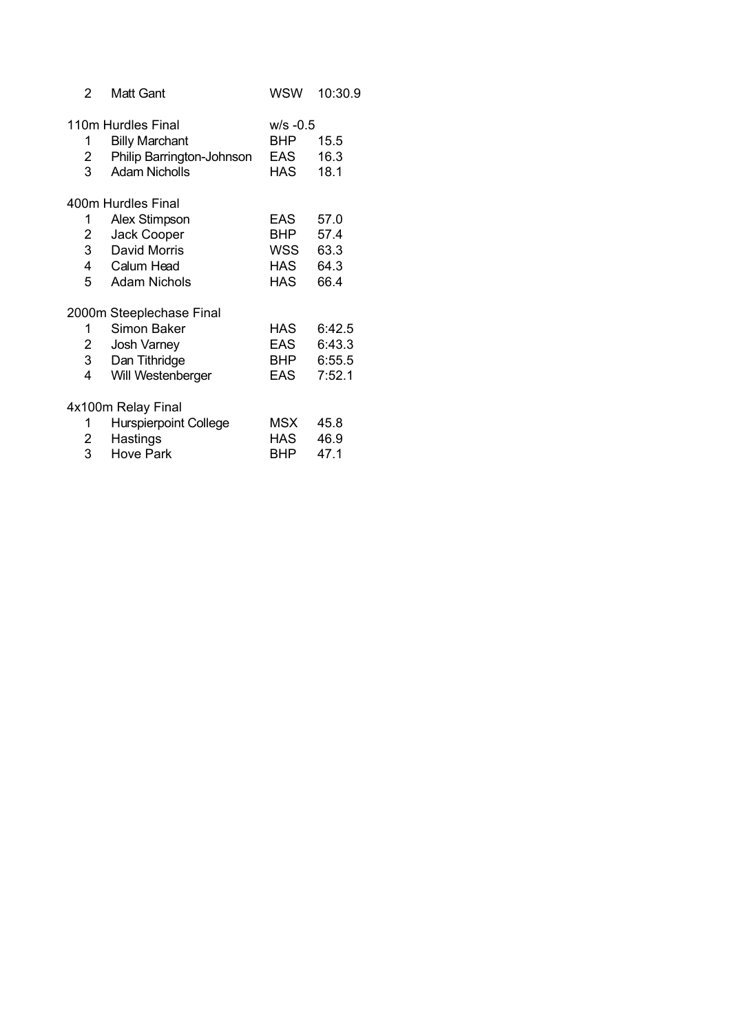| 2              | Matt Gant                     | WSW        | 10:30.9 |
|----------------|-------------------------------|------------|---------|
|                | 110m Hurdles Final            | $W/S -0.5$ |         |
| 1              | <b>Billy Marchant</b>         | BHP 15.5   |         |
| $2 \quad$      | Philip Barrington-Johnson EAS |            | 16.3    |
| $3^{\circ}$    | <b>Adam Nicholls</b>          | HAS        | 18.1    |
|                | 400m Hurdles Final            |            |         |
| 1              | Alex Stimpson                 | EAS        | 57.0    |
| $\overline{2}$ | Jack Cooper                   | <b>BHP</b> | 57.4    |
|                | 3 David Morris                | WSS        | 63.3    |
|                | 4 Calum Head                  | <b>HAS</b> | 64.3    |
|                | 5 Adam Nichols                | HAS        | 66.4    |
|                | 2000m Steeplechase Final      |            |         |
| $1 \quad$      | Simon Baker                   | HAS        | 6:42.5  |
| $2 \quad$      | Josh Varney                   | EAS        | 6:43.3  |
| 3 <sup>7</sup> | Dan Tithridge                 | <b>BHP</b> | 6:55.5  |
| 4              | Will Westenberger             | EAS        | 7:52.1  |
|                | 4x100m Relay Final            |            |         |
| 1              | <b>Hurspierpoint College</b>  | MSX        | 45.8    |
| $2 \quad$      | Hastings                      | HAS 46.9   |         |
| 3              | <b>Hove Park</b>              | BHP        | 47.1    |
|                |                               |            |         |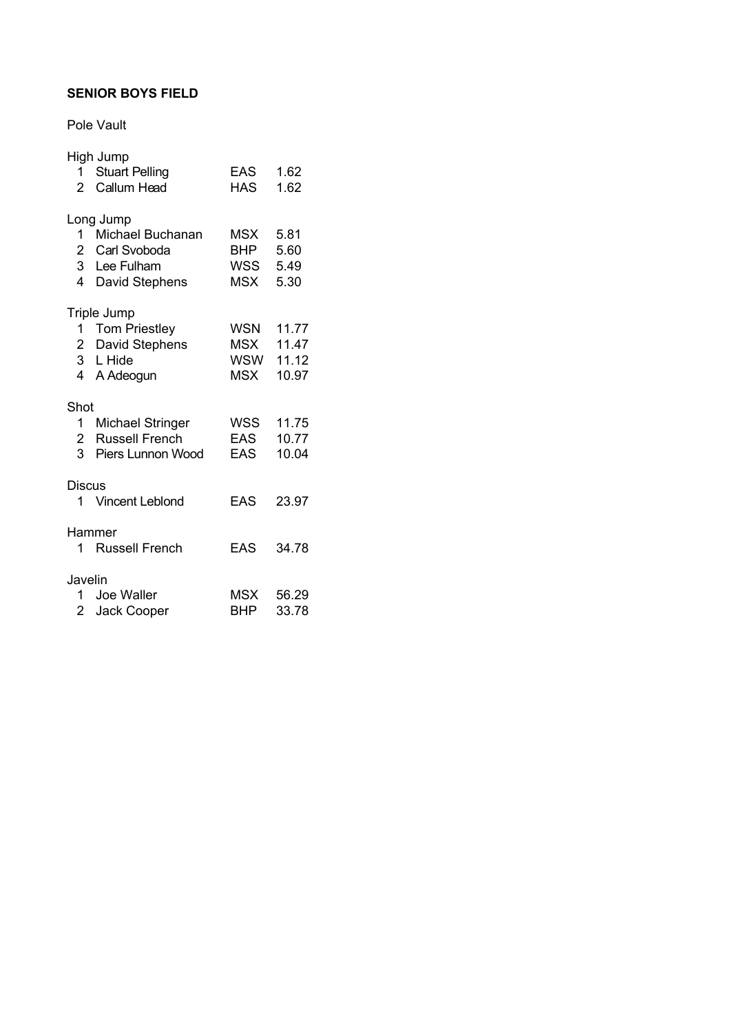## **SENIOR BOYS FIELD**

Pole Vault

|                | High Jump          |            |           |
|----------------|--------------------|------------|-----------|
|                | 1 Stuart Pelling   | EAS        | 1.62      |
|                | 2 Callum Head      | <b>HAS</b> | 1.62      |
|                |                    |            |           |
|                | Long Jump          |            |           |
|                | 1 Michael Buchanan | MSX        | 5.81      |
|                | 2 Carl Svoboda     | <b>BHP</b> | 5.60      |
|                | 3 Lee Fulham       | WSS 5.49   |           |
|                |                    |            |           |
|                | 4 David Stephens   | MSX        | 5.30      |
|                | Triple Jump        |            |           |
|                | 1 Tom Priestley    | WSN        | 11.77     |
|                | 2 David Stephens   |            | MSX 11.47 |
|                | 3 L Hide           |            | WSW 11.12 |
|                |                    | MSX        | 10.97     |
|                | 4 A Adeogun        |            |           |
| Shot           |                    |            |           |
|                | 1 Michael Stringer | WSS        | 11.75     |
|                | 2 Russell French   | EAS        | 10.77     |
| 3 <sup>1</sup> | Piers Lunnon Wood  | EAS        | 10.04     |
|                |                    |            |           |
| Discus         |                    |            |           |
|                | 1 Vincent Leblond  | <b>EAS</b> | 23.97     |
|                |                    |            |           |
|                | Hammer             |            |           |
|                | 1 Russell French   | <b>EAS</b> | 34.78     |
|                |                    |            |           |
| Javelin        |                    |            |           |
|                | 1 Joe Waller       |            | MSX 56.29 |
|                | 2 Jack Cooper      | BHP        | 33.78     |
|                |                    |            |           |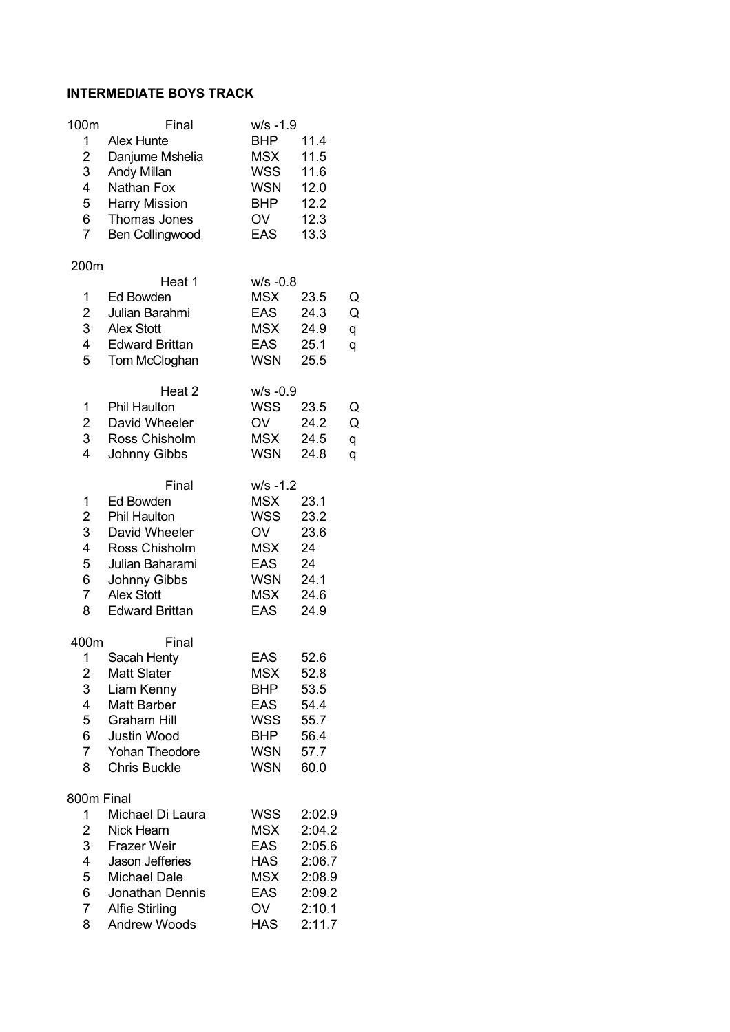#### **INTERMEDIATE BOYS TRACK**

| 100m                    | Final                                  | $W/S - 1.9$              |                  |   |
|-------------------------|----------------------------------------|--------------------------|------------------|---|
| 1<br>2                  | <b>Alex Hunte</b><br>Danjume Mshelia   | <b>BHP</b><br>MSX        | 11.4<br>11.5     |   |
| 3                       | Andy Millan                            | WSS                      | 11.6             |   |
| 4                       | Nathan Fox                             | <b>WSN</b>               | 12.0             |   |
| 5                       | Harry Mission                          | <b>BHP</b>               | 12.2             |   |
| 6                       | Thomas Jones                           | OV                       | 12.3             |   |
| $\overline{7}$          | Ben Collingwood                        | <b>EAS</b>               | 13.3             |   |
| 200m                    |                                        |                          |                  |   |
|                         | Heat 1                                 | $W/S -0.8$               |                  |   |
| 1                       | Ed Bowden                              | <b>MSX</b>               | 23.5             | Q |
| $\overline{\mathbf{c}}$ | Julian Barahmi                         | <b>EAS</b>               | 24.3             | Q |
| 3                       | <b>Alex Stott</b>                      | <b>MSX</b>               | 24.9             | q |
| 4                       | <b>Edward Brittan</b>                  | <b>EAS</b>               | 25.1             | q |
| 5                       | Tom McCloghan                          | <b>WSN</b>               | 25.5             |   |
|                         | Heat 2                                 | $W/S -0.9$               |                  |   |
| 1                       | <b>Phil Haulton</b>                    | WSS                      | 23.5             | Q |
| 2                       | David Wheeler                          | OV                       | 24.2             | Q |
| 3                       | Ross Chisholm                          | <b>MSX</b>               | 24.5             | q |
| 4                       | Johnny Gibbs                           | WSN                      | 24.8             | q |
|                         | Final                                  | $W/S - 1.2$              |                  |   |
| 1                       | Ed Bowden                              | <b>MSX</b>               | 23.1             |   |
| $\overline{c}$          | Phil Haulton                           | WSS                      | 23.2             |   |
| 3                       | David Wheeler                          | OV                       | 23.6             |   |
| 4                       | Ross Chisholm                          | <b>MSX</b>               | 24               |   |
| 5                       | Julian Baharami                        | <b>EAS</b>               | 24               |   |
| 6                       | Johnny Gibbs                           | <b>WSN</b>               | 24.1             |   |
| $\overline{7}$          | <b>Alex Stott</b>                      | <b>MSX</b>               | 24.6             |   |
| 8                       | <b>Edward Brittan</b>                  | <b>EAS</b>               | 24.9             |   |
| 400m                    | Final                                  |                          |                  |   |
| 1                       | Sacah Henty                            | <b>EAS</b>               | 52.6             |   |
| $\overline{\mathbf{c}}$ | Matt Slater                            | <b>MSX</b>               | 52.8             |   |
| 3                       | Liam Kenny                             | <b>BHP</b>               | 53.5             |   |
| 4                       | Matt Barber                            | <b>EAS</b>               | 54.4             |   |
| 5<br>6                  | <b>Graham Hill</b>                     | <b>WSS</b><br><b>BHP</b> | 55.7             |   |
| $\overline{7}$          | Justin Wood<br><b>Yohan Theodore</b>   | <b>WSN</b>               | 56.4<br>57.7     |   |
| 8                       | <b>Chris Buckle</b>                    | <b>WSN</b>               | 60.0             |   |
|                         |                                        |                          |                  |   |
| 800m Final              |                                        |                          |                  |   |
| 1                       | Michael Di Laura                       | <b>WSS</b>               | 2:02.9           |   |
| 2                       | Nick Hearn                             | <b>MSX</b>               | 2:04.2           |   |
| 3<br>4                  | <b>Frazer Weir</b>                     | <b>EAS</b><br><b>HAS</b> | 2:05.6           |   |
| 5                       | Jason Jefferies<br><b>Michael Dale</b> | <b>MSX</b>               | 2:06.7<br>2:08.9 |   |
| 6                       | Jonathan Dennis                        | <b>EAS</b>               | 2:09.2           |   |
| $\overline{7}$          | <b>Alfie Stirling</b>                  | OV                       | 2:10.1           |   |
| 8                       | Andrew Woods                           | <b>HAS</b>               | 2:11.7           |   |
|                         |                                        |                          |                  |   |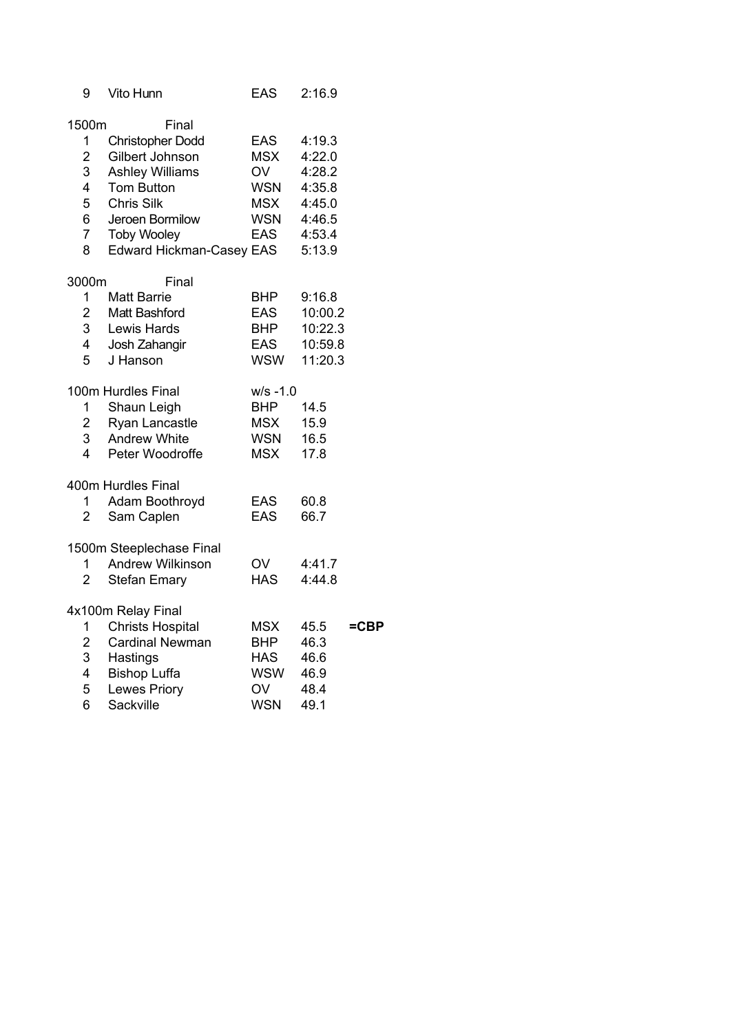| 9              | Vito Hunn                       | <b>EAS</b>  | 2:16.9  |      |
|----------------|---------------------------------|-------------|---------|------|
| 1500m          | Final                           |             |         |      |
| 1              | <b>Christopher Dodd</b>         | EAS         | 4:19.3  |      |
| $\overline{2}$ | Gilbert Johnson                 | <b>MSX</b>  | 4:22.0  |      |
| 3              | <b>Ashley Williams</b>          | OV          | 4:28.2  |      |
| $\overline{4}$ | <b>Tom Button</b>               | WSN         | 4:35.8  |      |
| 5              | <b>Chris Silk</b>               | <b>MSX</b>  | 4:45.0  |      |
| 6              | Jeroen Bormilow                 | WSN         | 4:46.5  |      |
| $\overline{7}$ | <b>Toby Wooley</b>              | EAS         | 4:53.4  |      |
| 8              | <b>Edward Hickman-Casey EAS</b> |             | 5:13.9  |      |
| 3000m          | Final                           |             |         |      |
| 1              | <b>Matt Barrie</b>              | BHP         | 9:16.8  |      |
| $\overline{2}$ | Matt Bashford                   | EAS         | 10:00.2 |      |
| 3 <sup>1</sup> | Lewis Hards                     | <b>BHP</b>  | 10:22.3 |      |
| $\overline{4}$ | Josh Zahangir                   | <b>EAS</b>  | 10:59.8 |      |
| 5              | J Hanson                        | WSW         | 11:20.3 |      |
|                | 100m Hurdles Final              | $w/s - 1.0$ |         |      |
| 1.             | Shaun Leigh                     | <b>BHP</b>  | 14.5    |      |
| $2^{\circ}$    | Ryan Lancastle                  | <b>MSX</b>  | 15.9    |      |
| 3 <sup>7</sup> | <b>Andrew White</b>             | WSN         | 16.5    |      |
| 4              | Peter Woodroffe                 | <b>MSX</b>  | 17.8    |      |
|                | 400m Hurdles Final              |             |         |      |
| 1              | Adam Boothroyd                  | <b>EAS</b>  | 60.8    |      |
| $\overline{2}$ | Sam Caplen                      | <b>EAS</b>  | 66.7    |      |
|                | 1500m Steeplechase Final        |             |         |      |
| 1              | Andrew Wilkinson                | OV          | 4:41.7  |      |
| $\overline{2}$ | <b>Stefan Emary</b>             | <b>HAS</b>  | 4:44.8  |      |
|                | 4x100m Relay Final              |             |         |      |
| $\mathbf 1$    | <b>Christs Hospital</b>         | <b>MSX</b>  | 45.5    | =CBP |
| $\overline{2}$ | <b>Cardinal Newman</b>          | <b>BHP</b>  | 46.3    |      |
| 3              | Hastings                        | <b>HAS</b>  | 46.6    |      |
| $\overline{4}$ | <b>Bishop Luffa</b>             | WSW         | 46.9    |      |
| 5              | <b>Lewes Priory</b>             | OV          | 48.4    |      |
| 6              | Sackville                       | <b>WSN</b>  | 49.1    |      |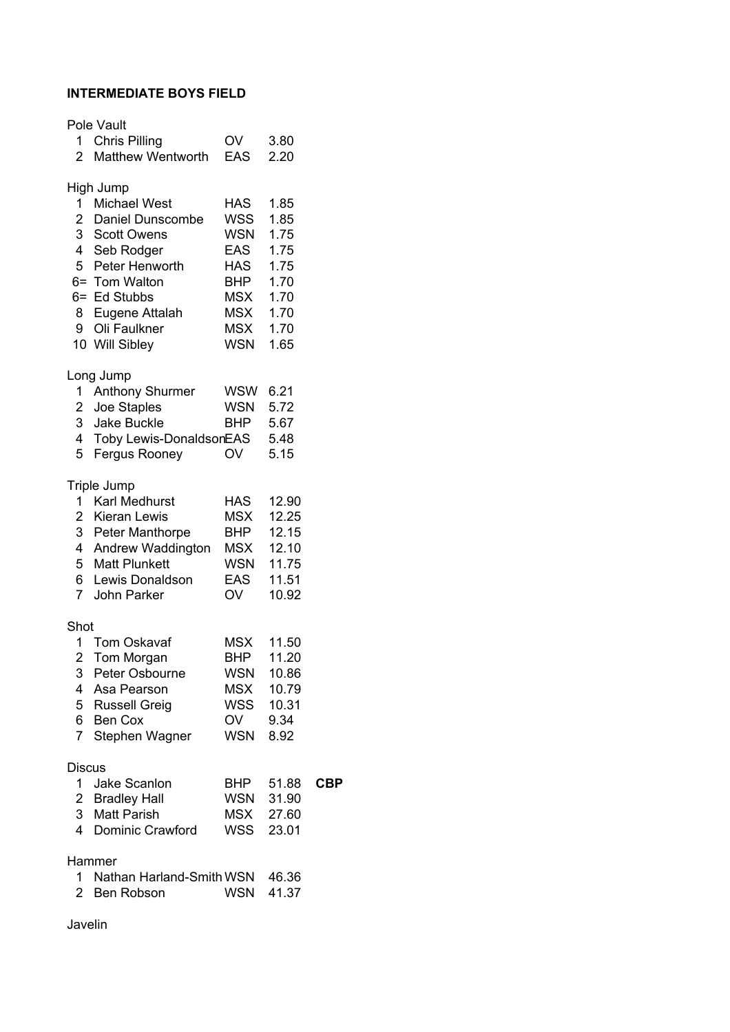## **INTERMEDIATE BOYS FIELD**

|                                  | Pole Vault                                    |                          |                |
|----------------------------------|-----------------------------------------------|--------------------------|----------------|
| 1.                               | <b>Chris Pilling</b>                          | OV                       | 3.80           |
| 2                                | <b>Matthew Wentworth</b>                      | EAS                      | 2.20           |
| 1                                | High Jump<br><b>Michael West</b>              | <b>HAS</b>               | 1.85           |
| $\overline{2}$                   | Daniel Dunscombe                              | <b>WSS</b>               | 1.85           |
| 3 <sup>1</sup>                   | <b>Scott Owens</b>                            | <b>WSN</b>               | 1.75           |
|                                  | 4 Seb Rodger                                  | <b>EAS</b>               | 1.75           |
|                                  | 5 Peter Henworth                              | HAS                      | 1.75           |
|                                  | 6= Tom Walton                                 | <b>BHP</b>               | 1.70           |
|                                  | 6= Ed Stubbs                                  | <b>MSX</b>               | 1.70           |
|                                  | 8 Eugene Attalah                              | <b>MSX</b>               | 1.70           |
| 9                                | Oli Faulkner<br>10 Will Sibley                | <b>MSX</b><br><b>WSN</b> | 1.70<br>1.65   |
|                                  |                                               |                          |                |
|                                  | Long Jump                                     |                          |                |
| 1.                               | Anthony Shurmer                               | <b>WSW</b>               | 6.21           |
| $\mathbf{2}$                     | Joe Staples                                   | <b>WSN</b>               | 5.72           |
| 3 <sup>1</sup><br>$\overline{4}$ | <b>Jake Buckle</b><br>Toby Lewis-DonaldsonEAS | <b>BHP</b>               | 5.67<br>5.48   |
| 5                                | Fergus Rooney                                 | OV                       | 5.15           |
|                                  |                                               |                          |                |
|                                  | <b>Triple Jump</b>                            |                          |                |
| 1                                | <b>Karl Medhurst</b>                          | <b>HAS</b>               | 12.90          |
|                                  | 2 Kieran Lewis                                | <b>MSX</b>               | 12.25          |
| 3 <sup>1</sup><br>$\overline{4}$ | Peter Manthorpe<br>Andrew Waddington          | <b>BHP</b><br><b>MSX</b> | 12.15<br>12.10 |
| 5 <sup>1</sup>                   | <b>Matt Plunkett</b>                          | <b>WSN</b>               | 11.75          |
| 6                                | Lewis Donaldson                               | <b>EAS</b>               | 11.51          |
| $\overline{7}$                   | <b>John Parker</b>                            | <b>OV</b>                | 10.92          |
| Shot                             |                                               |                          |                |
| 1                                | <b>Tom Oskavaf</b>                            | <b>MSX</b>               | 11.50          |
| $\overline{2}$                   | <b>Tom Morgan</b>                             | <b>BHP</b>               | 11.20          |
| 3                                | Peter Osbourne                                | <b>WSN</b>               | 10.86          |
| 4                                | Asa Pearson                                   | <b>MSX</b>               | 10.79          |
|                                  | 5 Russell Greig                               | WSS                      | 10.31          |
| $\overline{7}$                   | 6 Ben Cox                                     | OV<br>WSN                | 9.34           |
|                                  | Stephen Wagner                                |                          | 8.92           |
| <b>Discus</b>                    |                                               |                          |                |
|                                  | 1 Jake Scanlon                                | BHP                      | 51.88          |
|                                  | 2 Bradley Hall                                | <b>WSN</b>               | 31.90          |
| $\mathbf{3}$                     | <b>Matt Parish</b>                            | <b>MSX</b>               | 27.60          |
| 4                                | Dominic Crawford                              | WSS                      | 23.01          |
|                                  | Hammer                                        |                          |                |
| 1.                               | Nathan Harland-Smith WSN                      |                          | 46.36          |
| 2 <sup>1</sup>                   | Ben Robson                                    | <b>WSN</b>               | 41.37          |
|                                  |                                               |                          |                |

 $CBP$ 

Javelin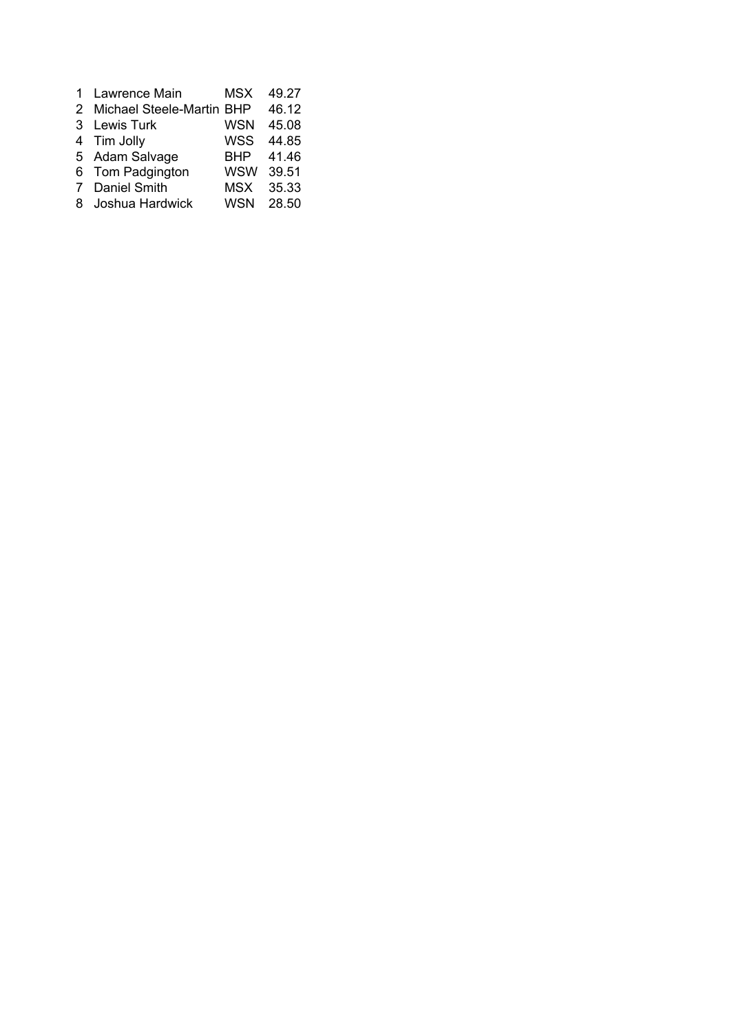| $\mathbf{1}$ | Lawrence Main               | MSX        | 49.27 |
|--------------|-----------------------------|------------|-------|
|              | 2 Michael Steele-Martin BHP |            | 46.12 |
|              | 3 Lewis Turk                | <b>WSN</b> | 45.08 |
|              | 4 Tim Jolly                 | <b>WSS</b> | 44.85 |
|              | 5 Adam Salvage              | BHP        | 41.46 |
|              | 6 Tom Padgington            | <b>WSW</b> | 39.51 |
| 7            | Daniel Smith                | <b>MSX</b> | 35.33 |
| 8            | Joshua Hardwick             | <b>WSN</b> | 28.50 |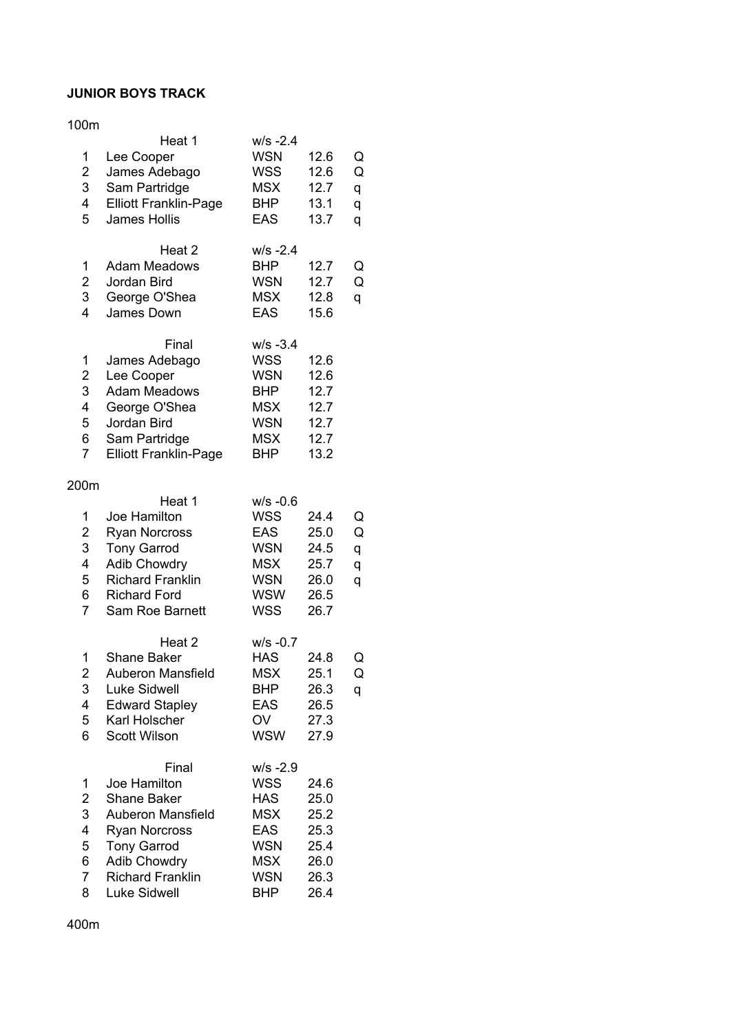#### **JUNIOR BOYS TRACK**

#### 100m

|                         | Heat 1                       | $W/S - 2.4$ |      |   |
|-------------------------|------------------------------|-------------|------|---|
| 1                       | Lee Cooper                   | <b>WSN</b>  | 12.6 | Q |
| $\overline{\mathbf{c}}$ | James Adebago                | <b>WSS</b>  | 12.6 | Q |
| 3                       | Sam Partridge                | <b>MSX</b>  | 12.7 | q |
| 4                       | <b>Elliott Franklin-Page</b> | <b>BHP</b>  | 13.1 | q |
| 5                       | <b>James Hollis</b>          | <b>EAS</b>  | 13.7 | q |
|                         |                              |             |      |   |
|                         | Heat 2                       | $W/S - 2.4$ |      |   |
| 1                       | <b>Adam Meadows</b>          | <b>BHP</b>  | 12.7 | Q |
| $\overline{\mathbf{c}}$ | Jordan Bird                  | <b>WSN</b>  | 12.7 | Q |
| 3                       | George O'Shea                | <b>MSX</b>  | 12.8 | q |
| 4                       | James Down                   | <b>EAS</b>  | 15.6 |   |
|                         | Final                        | $W/S - 3.4$ |      |   |
| 1                       | James Adebago                | <b>WSS</b>  | 12.6 |   |
| $\overline{c}$          | Lee Cooper                   | <b>WSN</b>  | 12.6 |   |
| 3                       | <b>Adam Meadows</b>          | <b>BHP</b>  | 12.7 |   |
| 4                       | George O'Shea                | <b>MSX</b>  | 12.7 |   |
| 5                       | Jordan Bird                  | <b>WSN</b>  | 12.7 |   |
| 6                       | Sam Partridge                | <b>MSX</b>  | 12.7 |   |
| $\overline{7}$          | <b>Elliott Franklin-Page</b> | <b>BHP</b>  | 13.2 |   |
|                         |                              |             |      |   |
| 200m                    |                              |             |      |   |
|                         | Heat 1                       | $W/S -0.6$  |      |   |
| 1                       | Joe Hamilton                 | <b>WSS</b>  | 24.4 | Q |
| 2                       | <b>Ryan Norcross</b>         | <b>EAS</b>  | 25.0 | Q |
| 3                       | <b>Tony Garrod</b>           | <b>WSN</b>  | 24.5 | q |
| 4                       | <b>Adib Chowdry</b>          | <b>MSX</b>  | 25.7 | q |
| 5                       | <b>Richard Franklin</b>      | <b>WSN</b>  | 26.0 | q |
| 6                       | <b>Richard Ford</b>          | <b>WSW</b>  | 26.5 |   |
| $\overline{7}$          | <b>Sam Roe Barnett</b>       | <b>WSS</b>  | 26.7 |   |
|                         |                              | $w/s - 0.7$ |      |   |
| 1                       | Heat 2<br><b>Shane Baker</b> | <b>HAS</b>  | 24.8 | Q |
| $\overline{2}$          | <b>Auberon Mansfield</b>     | <b>MSX</b>  | 25.1 | Q |
| 3                       | <b>Luke Sidwell</b>          | BHP         | 26.3 |   |
| 4                       | <b>Edward Stapley</b>        | EAS         | 26.5 | q |
| 5                       | Karl Holscher                | OV          | 27.3 |   |
| 6                       | <b>Scott Wilson</b>          | <b>WSW</b>  | 27.9 |   |
|                         |                              |             |      |   |
|                         | Final                        | $W/S -2.9$  |      |   |
| 1                       | Joe Hamilton                 | <b>WSS</b>  | 24.6 |   |
| $\overline{\mathbf{c}}$ | <b>Shane Baker</b>           | <b>HAS</b>  | 25.0 |   |
| 3                       | Auberon Mansfield            | <b>MSX</b>  | 25.2 |   |
| 4                       | <b>Ryan Norcross</b>         | <b>EAS</b>  | 25.3 |   |
| 5                       | <b>Tony Garrod</b>           | <b>WSN</b>  | 25.4 |   |
| 6                       | <b>Adib Chowdry</b>          | <b>MSX</b>  | 26.0 |   |
| $\overline{7}$          | <b>Richard Franklin</b>      | <b>WSN</b>  | 26.3 |   |
| 8                       | Luke Sidwell                 | <b>BHP</b>  | 26.4 |   |

400m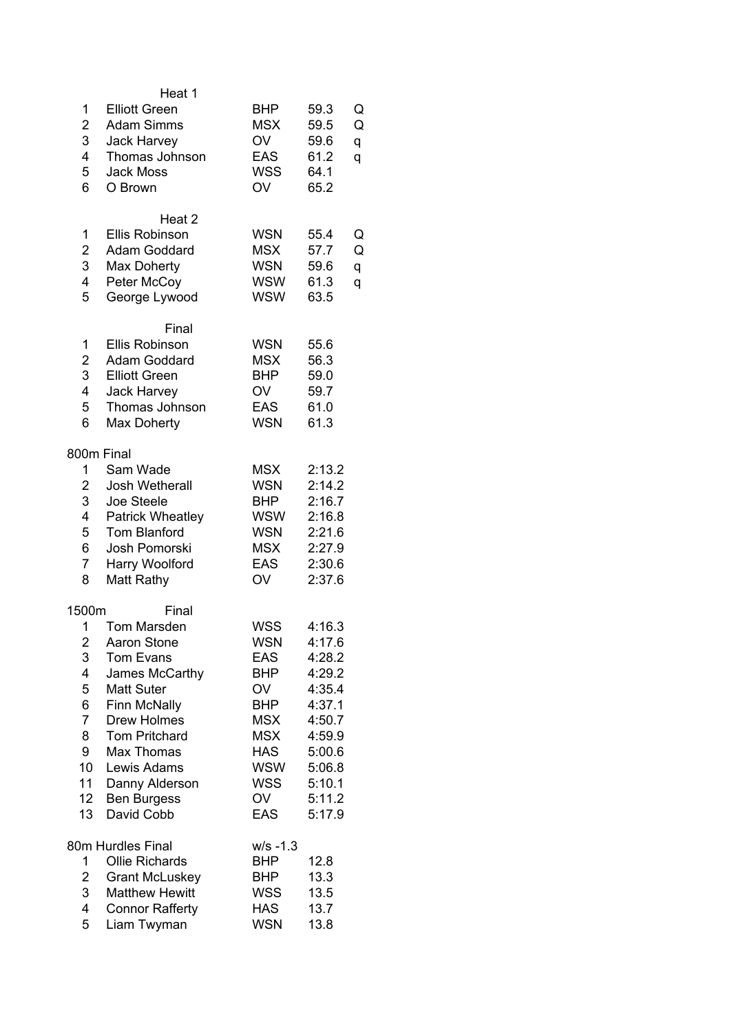| 1<br>$\overline{2}$<br>3<br>4<br>5<br>6                                                 | Heat 1<br><b>Elliott Green</b><br><b>Adam Simms</b><br><b>Jack Harvey</b><br>Thomas Johnson<br><b>Jack Moss</b><br>O Brown                                                                                                                      | <b>BHP</b><br><b>MSX</b><br>OV<br><b>EAS</b><br><b>WSS</b><br>OV                                                                                                   | 59.3<br>59.5<br>59.6<br>61.2<br>64.1<br>65.2                                                                                   | Q<br>Q<br>q<br>q |
|-----------------------------------------------------------------------------------------|-------------------------------------------------------------------------------------------------------------------------------------------------------------------------------------------------------------------------------------------------|--------------------------------------------------------------------------------------------------------------------------------------------------------------------|--------------------------------------------------------------------------------------------------------------------------------|------------------|
| 1<br>$\overline{2}$<br>3<br>4<br>5                                                      | Heat <sub>2</sub><br><b>Ellis Robinson</b><br>Adam Goddard<br>Max Doherty<br>Peter McCoy<br>George Lywood                                                                                                                                       | <b>WSN</b><br><b>MSX</b><br><b>WSN</b><br><b>WSW</b><br><b>WSW</b>                                                                                                 | 55.4<br>57.7<br>59.6<br>61.3<br>63.5                                                                                           | Q<br>Q<br>q<br>q |
| 1<br>$\overline{2}$<br>3<br>4<br>5<br>6                                                 | Final<br><b>Ellis Robinson</b><br>Adam Goddard<br><b>Elliott Green</b><br><b>Jack Harvey</b><br>Thomas Johnson<br><b>Max Doherty</b>                                                                                                            | <b>WSN</b><br><b>MSX</b><br><b>BHP</b><br>OV<br><b>EAS</b><br><b>WSN</b>                                                                                           | 55.6<br>56.3<br>59.0<br>59.7<br>61.0<br>61.3                                                                                   |                  |
| 800m Final<br>1<br>$\overline{2}$<br>3<br>4<br>5<br>6<br>$\overline{7}$<br>8            | Sam Wade<br>Josh Wetherall<br>Joe Steele<br><b>Patrick Wheatley</b><br><b>Tom Blanford</b><br>Josh Pomorski<br>Harry Woolford<br>Matt Rathy                                                                                                     | <b>MSX</b><br><b>WSN</b><br><b>BHP</b><br><b>WSW</b><br><b>WSN</b><br><b>MSX</b><br><b>EAS</b><br>OV                                                               | 2:13.2<br>2:14.2<br>2:16.7<br>2:16.8<br>2:21.6<br>2:27.9<br>2:30.6<br>2:37.6                                                   |                  |
| 1500m<br>1<br>2<br>3<br>4<br>5<br>6<br>$\overline{7}$<br>8<br>9<br>10<br>11<br>12<br>13 | Final<br><b>Tom Marsden</b><br>Aaron Stone<br>Tom Evans<br>James McCarthy<br><b>Matt Suter</b><br>Finn McNally<br><b>Drew Holmes</b><br><b>Tom Pritchard</b><br>Max Thomas<br>Lewis Adams<br>Danny Alderson<br><b>Ben Burgess</b><br>David Cobb | <b>WSS</b><br><b>WSN</b><br><b>EAS</b><br><b>BHP</b><br>OV<br><b>BHP</b><br><b>MSX</b><br><b>MSX</b><br><b>HAS</b><br><b>WSW</b><br><b>WSS</b><br>OV<br><b>EAS</b> | 4:16.3<br>4:17.6<br>4:28.2<br>4:29.2<br>4:35.4<br>4:37.1<br>4:50.7<br>4:59.9<br>5:00.6<br>5:06.8<br>5:10.1<br>5:11.2<br>5:17.9 |                  |
| 1<br>$\overline{2}$<br>3<br>4<br>5                                                      | 80m Hurdles Final<br><b>Ollie Richards</b><br><b>Grant McLuskey</b><br><b>Matthew Hewitt</b><br><b>Connor Rafferty</b><br>Liam Twyman                                                                                                           | $w/s - 1.3$<br><b>BHP</b><br><b>BHP</b><br><b>WSS</b><br><b>HAS</b><br><b>WSN</b>                                                                                  | 12.8<br>13.3<br>13.5<br>13.7<br>13.8                                                                                           |                  |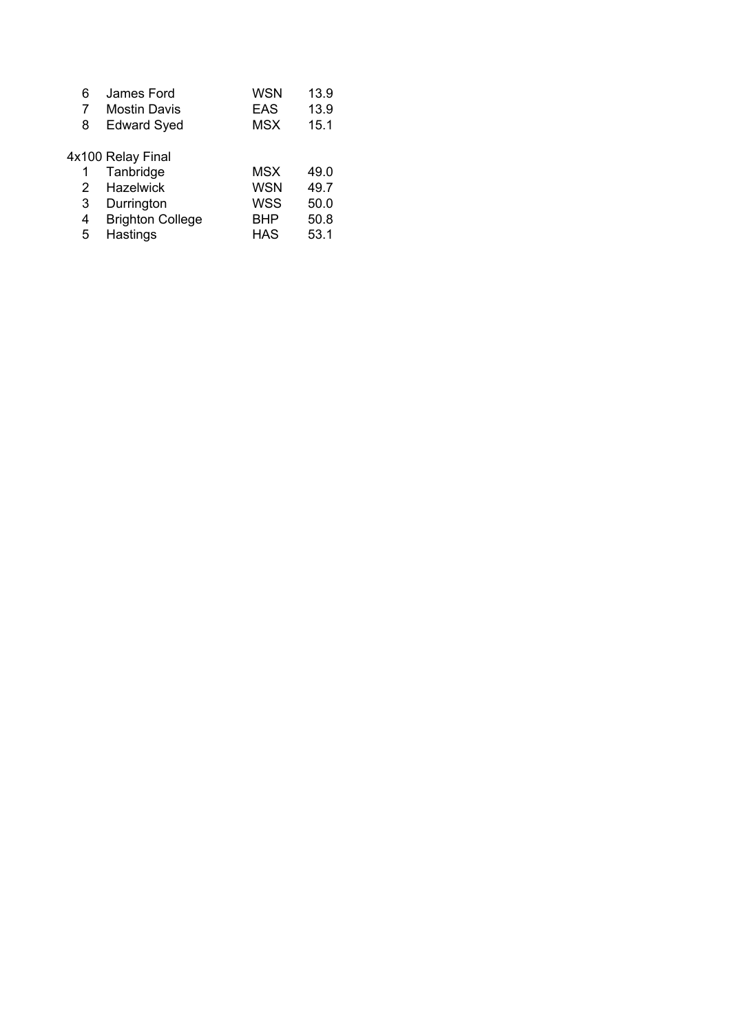| 6 | James Ford              | WSN        | 13.9 |
|---|-------------------------|------------|------|
| 7 | <b>Mostin Davis</b>     | <b>EAS</b> | 13.9 |
| 8 | <b>Edward Syed</b>      | <b>MSX</b> | 15.1 |
|   |                         |            |      |
|   | 4x100 Relay Final       |            |      |
| 1 | Tanbridge               | MSX        | 49.0 |
| 2 | <b>Hazelwick</b>        | <b>WSN</b> | 49.7 |
| 3 | Durrington              | <b>WSS</b> | 50.0 |
| 4 | <b>Brighton College</b> | BHP        | 50.8 |
| 5 | Hastings                | <b>HAS</b> | 53.1 |
|   |                         |            |      |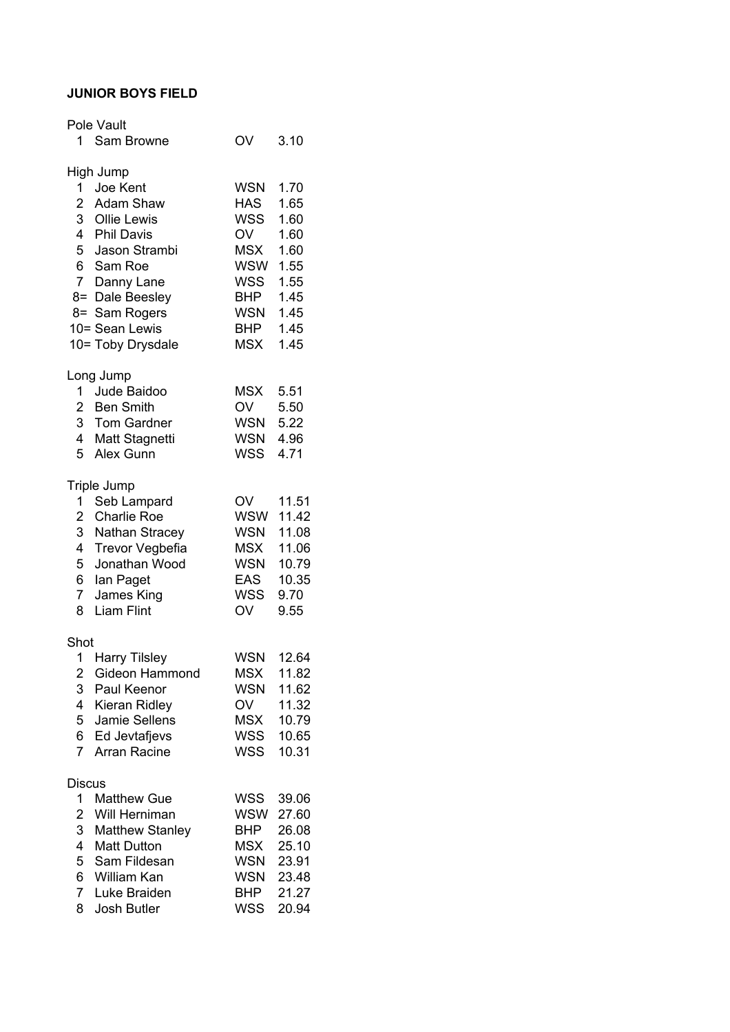#### **JUNIOR BOYS FIELD**

|                         | Pole Vault             |            |       |
|-------------------------|------------------------|------------|-------|
|                         | 1 Sam Browne           | OV         | 3.10  |
|                         | High Jump              |            |       |
|                         | 1 Joe Kent             | WSN        | 1.70  |
|                         | 2 Adam Shaw            | <b>HAS</b> | 1.65  |
|                         | 3 Ollie Lewis          | WSS        | 1.60  |
|                         | 4 Phil Davis           | OV         | 1.60  |
|                         | 5 Jason Strambi        | <b>MSX</b> | 1.60  |
|                         | 6 Sam Roe              | WSW        | 1.55  |
|                         | 7 Danny Lane           | WSS        | 1.55  |
|                         | 8= Dale Beesley        | <b>BHP</b> | 1.45  |
|                         | 8= Sam Rogers          | <b>WSN</b> | 1.45  |
|                         | 10= Sean Lewis         | <b>BHP</b> | 1.45  |
|                         | 10= Toby Drysdale      | <b>MSX</b> | 1.45  |
|                         | Long Jump              |            |       |
|                         | 1 Jude Baidoo          | MSX        | 5.51  |
|                         | 2 Ben Smith            | OV         | 5.50  |
|                         | 3 Tom Gardner          | <b>WSN</b> | 5.22  |
|                         | 4 Matt Stagnetti       | <b>WSN</b> | 4.96  |
| 5                       | Alex Gunn              | WSS        | 4.71  |
|                         | Triple Jump            |            |       |
| $1 \quad$               | Seb Lampard            | OV         | 11.51 |
| $\overline{2}$          | <b>Charlie Roe</b>     | <b>WSW</b> | 11.42 |
|                         | 3 Nathan Stracey       | <b>WSN</b> | 11.08 |
| 4                       | <b>Trevor Vegbefia</b> | <b>MSX</b> | 11.06 |
| 5                       | Jonathan Wood          | <b>WSN</b> | 10.79 |
| 6 <sup>1</sup>          | lan Paget              | <b>EAS</b> | 10.35 |
| 7 <sup>7</sup>          | James King             | WSS        | 9.70  |
| 8                       | <b>Liam Flint</b>      | <b>OV</b>  | 9.55  |
| Shot                    |                        |            |       |
| 1                       | <b>Harry Tilsley</b>   | <b>WSN</b> | 12.64 |
| $\overline{\mathbf{c}}$ | Gideon Hammond         | <b>MSX</b> | 11.82 |
| 3                       | Paul Keenor            | <b>WSN</b> | 11.62 |
| 4                       | Kieran Ridley          | OV         | 11.32 |
| 5                       | Jamie Sellens          | <b>MSX</b> | 10.79 |
| 6                       | Ed Jevtafjevs          | WSS        | 10.65 |
| $\overline{7}$          | Arran Racine           | WSS        | 10.31 |
| Discus                  |                        |            |       |
| 1                       | <b>Matthew Gue</b>     | <b>WSS</b> | 39.06 |
| $\overline{\mathbf{c}}$ | Will Herniman          | <b>WSW</b> | 27.60 |
| 3                       | <b>Matthew Stanley</b> | BHP        | 26.08 |
| $\overline{4}$          | <b>Matt Dutton</b>     | MSX        | 25.10 |
| 5                       | Sam Fildesan           | WSN        | 23.91 |
| 6                       | William Kan            | WSN        | 23.48 |
| 7                       | Luke Braiden           | <b>BHP</b> | 21.27 |
| 8                       | Josh Butler            | <b>WSS</b> | 20.94 |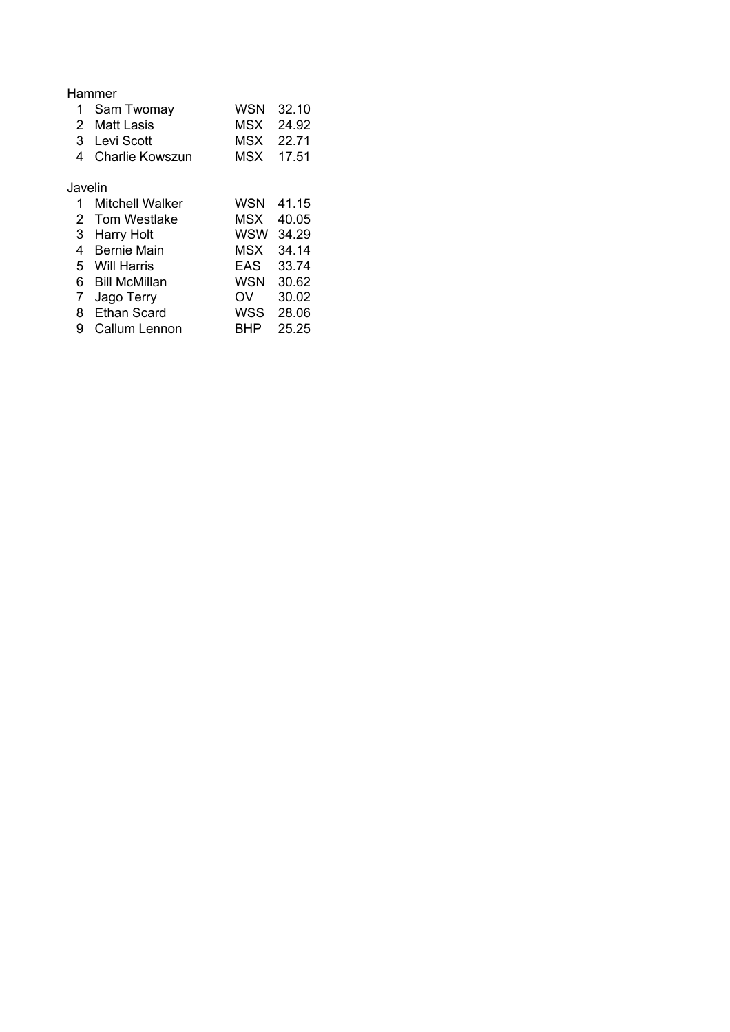|         | Hammer            |           |           |
|---------|-------------------|-----------|-----------|
|         | 1 Sam Twomay      |           | WSN 32.10 |
|         | 2 Matt Lasis      |           | MSX 24.92 |
|         | 3 Levi Scott      |           | MSX 22.71 |
|         | 4 Charlie Kowszun | MSX 17.51 |           |
| Javelin |                   |           |           |

| 1.          | <b>Mitchell Walker</b> | WSN        | 41.15 |
|-------------|------------------------|------------|-------|
|             | 2 Tom Westlake         | MSX        | 40.05 |
|             | 3 Harry Holt           | <b>WSW</b> | 34.29 |
| 4           | <b>Bernie Main</b>     | MSX        | 34.14 |
|             | 5 Will Harris          | EAS        | 33.74 |
|             | 6 Bill McMillan        | <b>WSN</b> | 30.62 |
| $7^{\circ}$ | Jago Terry             | OV         | 30.02 |
| 8           | <b>Ethan Scard</b>     | <b>WSS</b> | 28.06 |
| 9           | <b>Callum Lennon</b>   | <b>BHP</b> | 25.25 |
|             |                        |            |       |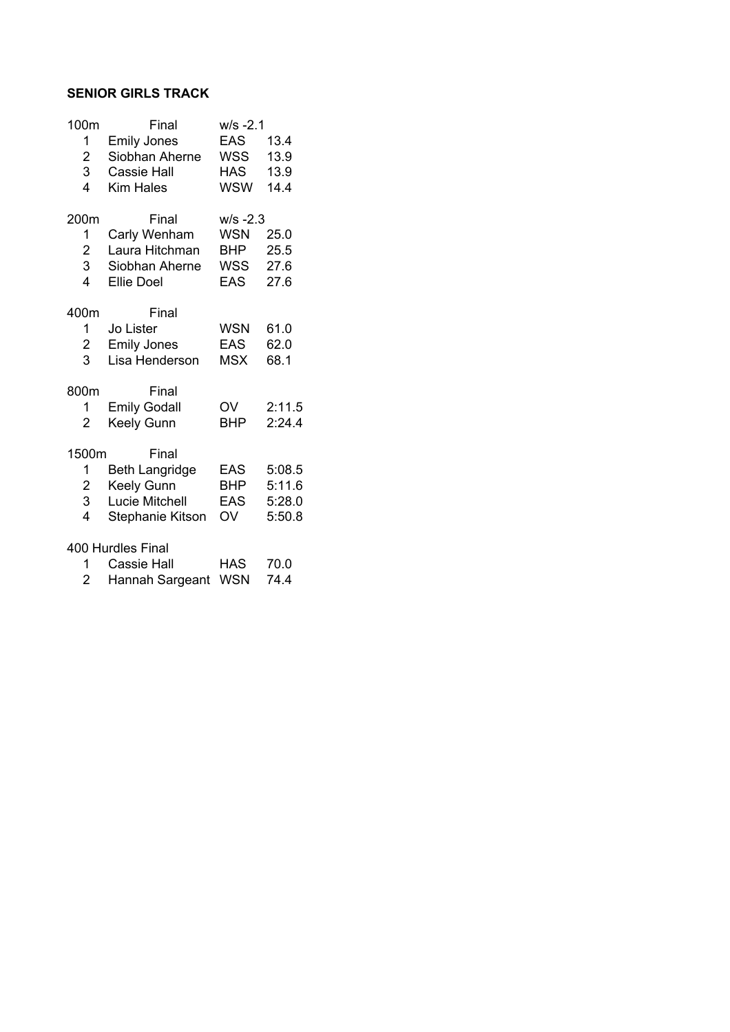#### **SENIOR GIRLS TRACK**

| 100m           | Final                 | w/s -2.1    |        |
|----------------|-----------------------|-------------|--------|
| 1              | <b>Emily Jones</b>    | EAS         | 13.4   |
| 2              | Siobhan Aherne        | WSS         | 13.9   |
| 3              | <b>Cassie Hall</b>    | <b>HAS</b>  | 13.9   |
| 4              | Kim Hales             | <b>WSW</b>  | 14.4   |
| 200m           | Final                 | $W/S - 2.3$ |        |
| 1              | Carly Wenham          | <b>WSN</b>  | 25.0   |
| 2              | Laura Hitchman        | <b>BHP</b>  | 25.5   |
| 3              | Siobhan Aherne        | WSS         | 27.6   |
| 4              | <b>Ellie Doel</b>     | <b>EAS</b>  | 27.6   |
| 400m           | Final                 |             |        |
| 1              | Jo Lister             | <b>WSN</b>  | 61.0   |
| 2              | <b>Emily Jones</b>    | EAS         | 62.0   |
| 3              | Lisa Henderson        | <b>MSX</b>  | 68.1   |
| 800m           | Final                 |             |        |
| 1              | <b>Emily Godall</b>   | OV          | 2:11.5 |
| $\overline{2}$ | Keely Gunn            | <b>BHP</b>  | 2:24.4 |
| 1500m          | Final                 |             |        |
| 1              | <b>Beth Langridge</b> | EAS         | 5:08.5 |
| $\overline{2}$ | Keely Gunn            | <b>BHP</b>  | 5:11.6 |
| 3              | Lucie Mitchell        | EAS         | 5:28.0 |
| 4              | Stephanie Kitson      | OV          | 5:50.8 |
|                | 400 Hurdles Final     |             |        |
| 1              | <b>Cassie Hall</b>    | HAS         | 70.0   |

| 2 | Hannah Sargeant WSN 74.4 |  |
|---|--------------------------|--|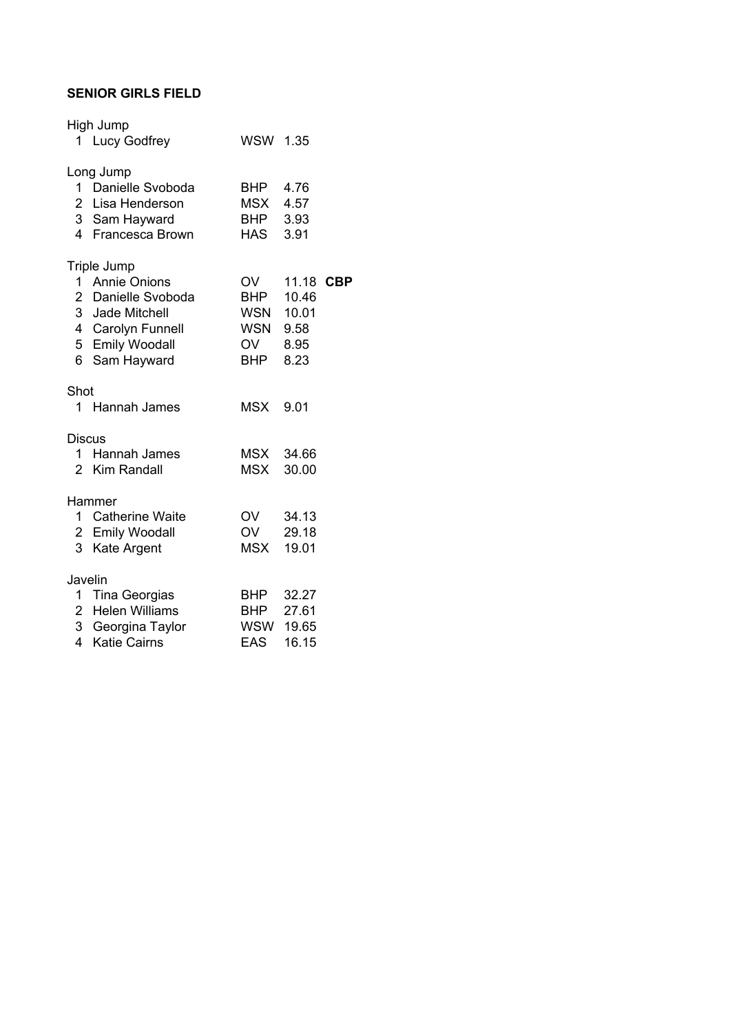#### **SENIOR GIRLS FIELD**

|                           | High Jump<br>1 Lucy Godfrey                                                                                                     | WSW 1.35                                                           |                            |  |
|---------------------------|---------------------------------------------------------------------------------------------------------------------------------|--------------------------------------------------------------------|----------------------------|--|
|                           | Long Jump<br>1 Danielle Svoboda<br>2 Lisa Henderson<br>3 Sam Hayward<br>4 Francesca Brown                                       | BHP 4.76<br>MSX 4.57<br>BHP 3.93<br>HAS 3.91                       |                            |  |
|                           | Triple Jump<br>1 Annie Onions<br>2 Danielle Svoboda<br>3 Jade Mitchell<br>4 Carolyn Funnell<br>5 Emily Woodall<br>6 Sam Hayward | OV<br><b>BHP</b><br>WSN 10.01<br>WSN 9.58<br>OV 8.95<br><b>BHP</b> | 11.18 CBP<br>10.46<br>8.23 |  |
| Shot                      | 1 Hannah James                                                                                                                  | MSX 9.01                                                           |                            |  |
| <b>Discus</b>             | 1 Hannah James<br>2 Kim Randall                                                                                                 | MSX 34.66<br><b>MSX</b>                                            | 30.00                      |  |
|                           | Hammer<br>1 Catherine Waite<br>2 Emily Woodall<br>3 Kate Argent                                                                 | OV 34.13<br>OV 29.18<br>MSX 19.01                                  |                            |  |
| Javelin<br>$\overline{4}$ | 1 Tina Georgias<br>2 Helen Williams<br>3 Georgina Taylor<br><b>Katie Cairns</b>                                                 | BHP 32.27<br>BHP 27.61<br>WSW 19.65<br><b>EAS</b>                  | 16.15                      |  |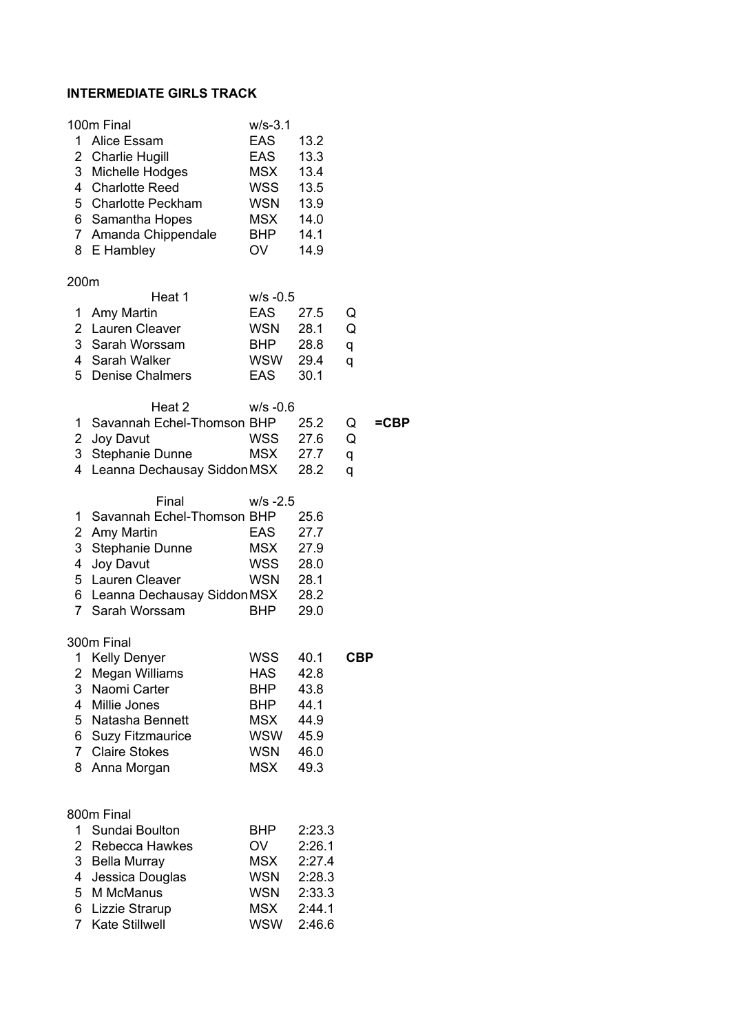#### **INTERMEDIATE GIRLS TRACK**

| 1.<br>7 <sup>1</sup>                           | 100m Final<br>Alice Essam<br>2 Charlie Hugill<br>3 Michelle Hodges<br>4 Charlotte Reed<br>5 Charlotte Peckham<br>6 Samantha Hopes<br>Amanda Chippendale<br>8 E Hambley   | $W/S-3.1$<br><b>EAS</b><br>EAS<br><b>MSX</b><br>WSS<br><b>WSN</b><br><b>MSX</b><br><b>BHP</b><br>OV | 13.2<br>13.3<br>13.4<br>13.5<br>13.9<br>14.0<br>14.1<br>14.9       |                  |      |
|------------------------------------------------|--------------------------------------------------------------------------------------------------------------------------------------------------------------------------|-----------------------------------------------------------------------------------------------------|--------------------------------------------------------------------|------------------|------|
| 200m<br>1<br>$\overline{2}$<br>5               | Heat 1<br>Amy Martin<br>Lauren Cleaver<br>3 Sarah Worssam<br>4 Sarah Walker<br><b>Denise Chalmers</b>                                                                    | $w/s -0.5$<br><b>EAS</b><br>WSN<br><b>BHP</b><br>WSW<br>EAS                                         | 27.5<br>28.1<br>28.8<br>29.4<br>30.1                               | Q<br>Q<br>q<br>q |      |
| 1<br>4                                         | Heat 2<br>Savannah Echel-Thomson BHP<br>2 Joy Davut<br>3 Stephanie Dunne<br>Leanna Dechausay Siddon MSX                                                                  | $W/S -0.6$<br>WSS<br>MSX                                                                            | 25.2<br>27.6<br>27.7<br>28.2                                       | Q<br>Q<br>q<br>q | =CBP |
| 1<br>$\overline{2}$<br>3<br>4                  | Final<br>Savannah Echel-Thomson BHP<br>Amy Martin<br>Stephanie Dunne<br>Joy Davut<br>5 Lauren Cleaver<br>6 Leanna Dechausay Siddon MSX<br>7 Sarah Worssam                | $W/S - 2.5$<br><b>EAS</b><br><b>MSX</b><br>WSS<br>WSN<br><b>BHP</b>                                 | 25.6<br>27.7<br>27.9<br>28.0<br>28.1<br>28.2<br>29.0               |                  |      |
| 1<br>2<br>3<br>4<br>5<br>6<br>$7^{\circ}$<br>8 | 300m Final<br>Kelly Denyer<br><b>Megan Williams</b><br>Naomi Carter<br>Millie Jones<br>Natasha Bennett<br><b>Suzy Fitzmaurice</b><br><b>Claire Stokes</b><br>Anna Morgan | <b>WSS</b><br>HAS<br>BHP<br>BHP<br>MSX<br>WSW<br>WSN<br>MSX                                         | 40.1<br>42.8<br>43.8<br>44.1<br>44.9<br>45.9<br>46.0<br>49.3       | <b>CBP</b>       |      |
| 1.<br>3<br>4<br>5                              | 800m Final<br>Sundai Boulton<br>2 Rebecca Hawkes<br><b>Bella Murray</b><br>Jessica Douglas<br>M McManus<br>6 Lizzie Strarup<br>7 Kate Stillwell                          | BHP.<br><b>OV</b><br>MSX<br>WSN<br>WSN<br>MSX<br>WSW                                                | 2:23.3<br>2:26.1<br>2:27.4<br>2:28.3<br>2:33.3<br>2:44.1<br>2:46.6 |                  |      |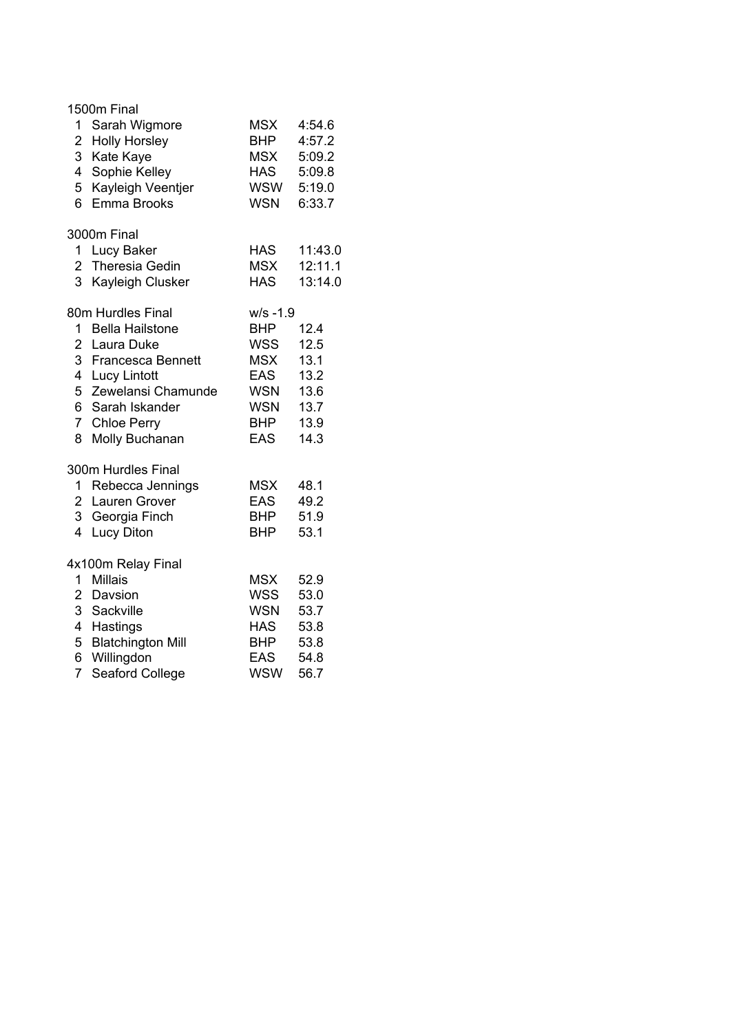|                | 1500m Final              |             |         |
|----------------|--------------------------|-------------|---------|
| 1              | Sarah Wigmore            | <b>MSX</b>  | 4:54.6  |
|                | 2 Holly Horsley          | <b>BHP</b>  | 4:57.2  |
|                | 3 Kate Kaye              | <b>MSX</b>  | 5:09.2  |
|                | 4 Sophie Kelley          | <b>HAS</b>  | 5:09.8  |
|                | 5 Kayleigh Veentjer      | WSW         | 5:19.0  |
| 6              | Emma Brooks              | <b>WSN</b>  | 6:33.7  |
|                | 3000m Final              |             |         |
|                | 1 Lucy Baker             | <b>HAS</b>  | 11:43.0 |
|                | 2 Theresia Gedin         | <b>MSX</b>  | 12:11.1 |
| 3 <sup>1</sup> | Kayleigh Clusker         | <b>HAS</b>  | 13:14.0 |
|                | 80m Hurdles Final        | $w/s - 1.9$ |         |
|                | 1 Bella Hailstone        | <b>BHP</b>  | 12.4    |
|                | 2 Laura Duke             | WSS         | 12.5    |
|                | 3 Francesca Bennett      | <b>MSX</b>  | 13.1    |
|                | 4 Lucy Lintott           | EAS         | 13.2    |
|                | 5 Zewelansi Chamunde     | <b>WSN</b>  | 13.6    |
|                | 6 Sarah Iskander         | <b>WSN</b>  | 13.7    |
|                | 7 Chloe Perry            | BHP         | 13.9    |
| 8              | Molly Buchanan           | EAS         | 14.3    |
|                | 300m Hurdles Final       |             |         |
|                | 1 Rebecca Jennings       | <b>MSX</b>  | 48.1    |
|                | 2 Lauren Grover          | EAS         | 49.2    |
|                | 3 Georgia Finch          | BHP         | 51.9    |
| $\overline{4}$ | <b>Lucy Diton</b>        | <b>BHP</b>  | 53.1    |
|                | 4x100m Relay Final       |             |         |
|                | 1 Millais                | <b>MSX</b>  | 52.9    |
|                | 2 Davsion                | WSS         | 53.0    |
|                | 3 Sackville              | <b>WSN</b>  | 53.7    |
|                | 4 Hastings               | <b>HAS</b>  | 53.8    |
| 5              | <b>Blatchington Mill</b> | <b>BHP</b>  | 53.8    |
| 6 <sup>1</sup> | Willingdon               | <b>EAS</b>  | 54.8    |
| $\overline{7}$ | Seaford College          | <b>WSW</b>  | 56.7    |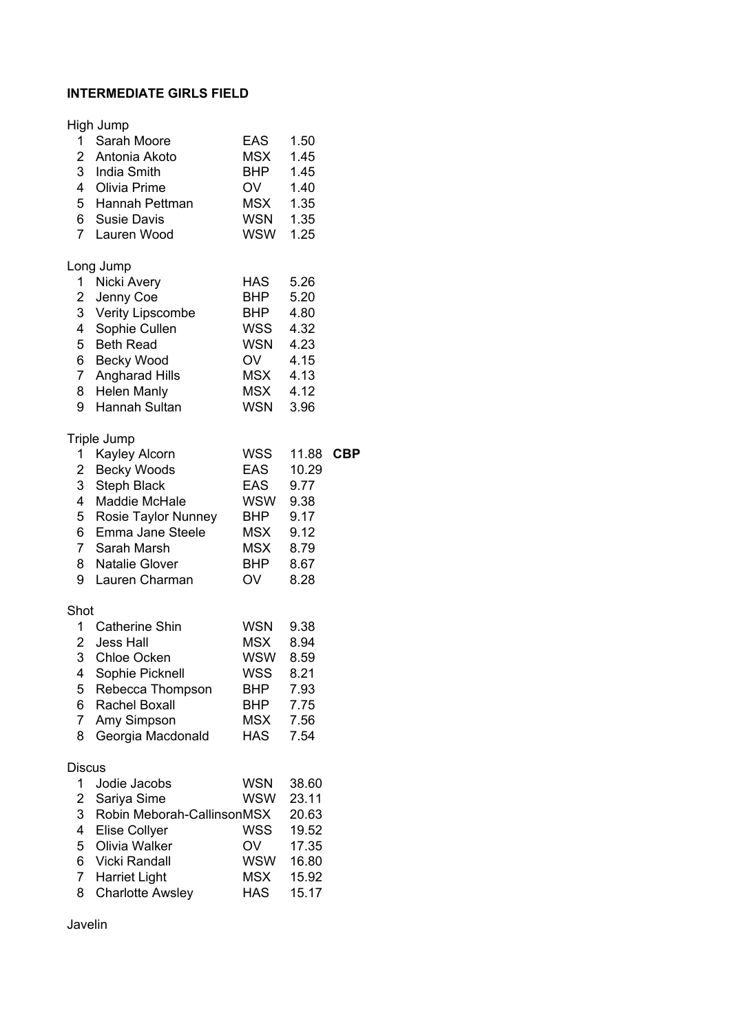## **INTERMEDIATE GIRLS FIELD**

|                                                       | High Jump                                                                                                                                                                                    |                                                                                                       |                                                                      |            |
|-------------------------------------------------------|----------------------------------------------------------------------------------------------------------------------------------------------------------------------------------------------|-------------------------------------------------------------------------------------------------------|----------------------------------------------------------------------|------------|
|                                                       | 1 Sarah Moore<br>2 Antonia Akoto<br>3 India Smith<br>4 Olivia Prime<br>5 Hannah Pettman<br>6 Susie Davis<br>7 Lauren Wood                                                                    | EAS<br><b>MSX</b><br><b>BHP</b><br>OV<br>MSX 1.35<br>WSN 1.35<br>WSW                                  | 1.50<br>1.45<br>1.45<br>1.40<br>1.25                                 |            |
| 4 <sup>1</sup><br>9                                   | Long Jump<br>1 Nicki Avery<br>2 Jenny Coe<br>3 Verity Lipscombe<br>Sophie Cullen<br>5 Beth Read<br>6 Becky Wood<br>7 Angharad Hills<br>8 Helen Manly<br>Hannah Sultan                        | HAS<br><b>BHP</b><br>BHP<br>WSS 4.32<br>WSN 4.23<br>OV 4.15<br>MSX 4.13<br>MSX 4.12<br>WSN 3.96       | 5.26<br>5.20<br>4.80                                                 |            |
| 1<br>8<br>9                                           | Triple Jump<br>Kayley Alcorn<br>2 Becky Woods<br>3 Steph Black<br>4 Maddie McHale<br>5 Rosie Taylor Nunney<br>6 Emma Jane Steele<br>7 Sarah Marsh<br><b>Natalie Glover</b><br>Lauren Charman | WSS<br><b>EAS</b><br><b>EAS</b><br>WSW 9.38<br><b>BHP</b><br>MSX 9.12<br>MSX 8.79<br><b>BHP</b><br>OV | 11.88<br>10.29<br>9.77<br>9.17<br>8.67<br>8.28                       | <b>CBP</b> |
| Shot<br>2<br>3<br>4<br>5<br>6<br>$\overline{7}$<br>8  | 1 Catherine Shin<br>Jess Hall<br><b>Chloe Ocken</b><br>Sophie Picknell<br>Rebecca Thompson<br>Rachel Boxall<br>Amy Simpson<br>Georgia Macdonald                                              | WSN 9.38<br>MSX 8.94<br>WSW<br>WSS<br>BHP<br>BHP<br>MSX<br>HAS                                        | 8.59<br>8.21<br>7.93<br>7.75<br>7.56<br>7.54                         |            |
| <b>Discus</b><br>1<br>2<br>3<br>4<br>5<br>6<br>7<br>8 | Jodie Jacobs<br>Sariya Sime<br>Robin Meborah-CallinsonMSX<br>Elise Collyer<br>Olivia Walker<br>Vicki Randall<br>Harriet Light<br><b>Charlotte Awsley</b>                                     | <b>WSN</b><br><b>WSW</b><br><b>WSS</b><br>OV<br>WSW<br><b>MSX</b><br><b>HAS</b>                       | 38.60<br>23.11<br>20.63<br>19.52<br>17.35<br>16.80<br>15.92<br>15.17 |            |

Javelin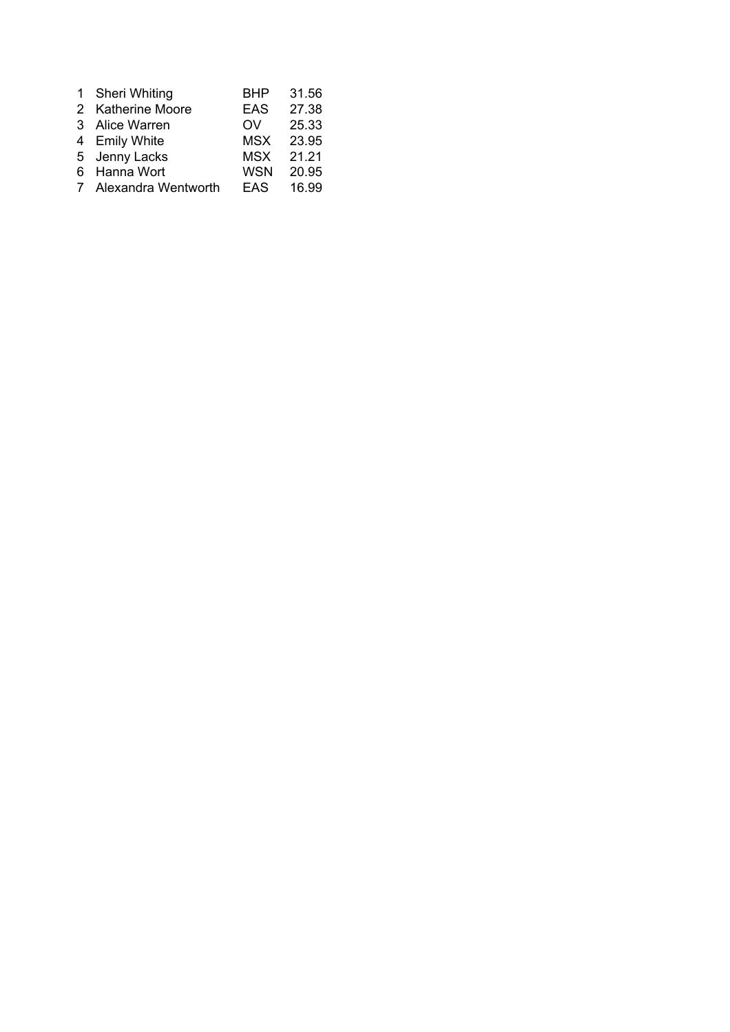| 1 | <b>Sheri Whiting</b>  | <b>BHP</b> | 31.56 |
|---|-----------------------|------------|-------|
|   | 2 Katherine Moore     | <b>EAS</b> | 27.38 |
|   | 3 Alice Warren        | OV         | 25.33 |
|   | 4 Emily White         | <b>MSX</b> | 23.95 |
|   | 5 Jenny Lacks         | MSX        | 21.21 |
|   | 6 Hanna Wort          | <b>WSN</b> | 20.95 |
|   | 7 Alexandra Wentworth | EAS.       | 16.99 |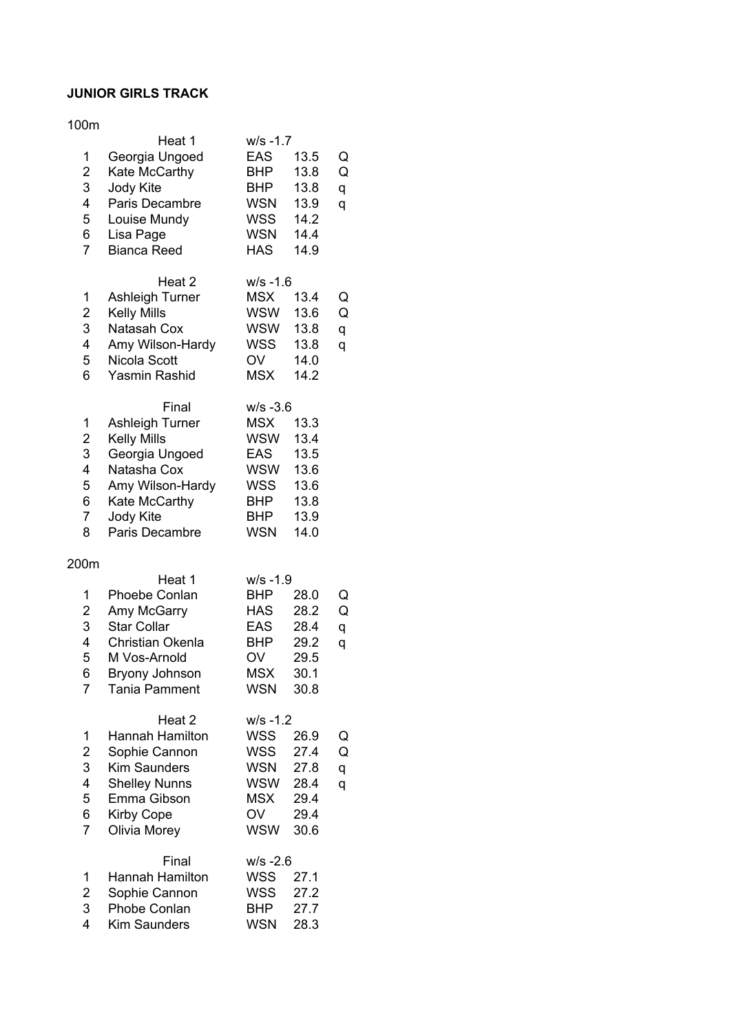## **JUNIOR GIRLS TRACK**

#### 100m

|                         | Heat 1                 | w/s -1.7    |      |   |
|-------------------------|------------------------|-------------|------|---|
| 1                       | Georgia Ungoed         | <b>EAS</b>  | 13.5 | Q |
| $\overline{\mathbf{c}}$ | Kate McCarthy          | <b>BHP</b>  | 13.8 | Q |
| 3                       | Jody Kite              | BHP         | 13.8 | q |
| 4                       | Paris Decambre         | <b>WSN</b>  | 13.9 | q |
| 5                       | Louise Mundy           | <b>WSS</b>  | 14.2 |   |
| 6                       | Lisa Page              | <b>WSN</b>  | 14.4 |   |
| $\overline{7}$          | <b>Bianca Reed</b>     | <b>HAS</b>  | 14.9 |   |
|                         |                        |             |      |   |
|                         | Heat 2                 | $W/S - 1.6$ |      |   |
| 1                       | Ashleigh Turner        | <b>MSX</b>  | 13.4 | Q |
| $\overline{\mathbf{c}}$ | <b>Kelly Mills</b>     | WSW         | 13.6 | Q |
| 3                       | Natasah Cox            | <b>WSW</b>  | 13.8 | q |
| 4                       | Amy Wilson-Hardy       | <b>WSS</b>  | 13.8 | q |
| 5                       | Nicola Scott           | OV          | 14.0 |   |
| 6                       | Yasmin Rashid          | <b>MSX</b>  | 14.2 |   |
|                         |                        |             |      |   |
|                         | Final                  | $W/S -3.6$  |      |   |
| 1                       | <b>Ashleigh Turner</b> | <b>MSX</b>  | 13.3 |   |
| $\overline{2}$          | <b>Kelly Mills</b>     | WSW         | 13.4 |   |
| 3                       | Georgia Ungoed         | <b>EAS</b>  | 13.5 |   |
| $\overline{\mathbf{4}}$ | Natasha Cox            | <b>WSW</b>  | 13.6 |   |
| 5                       | Amy Wilson-Hardy       | <b>WSS</b>  | 13.6 |   |
| 6                       | Kate McCarthy          | <b>BHP</b>  | 13.8 |   |
| $\overline{7}$          | Jody Kite              | BHP         | 13.9 |   |
| 8                       | Paris Decambre         | <b>WSN</b>  | 14.0 |   |
|                         |                        |             |      |   |
| 200m                    |                        |             |      |   |
|                         | Heat 1                 | $W/S - 1.9$ |      |   |
| 1                       | Phoebe Conlan          | <b>BHP</b>  | 28.0 | Q |
| $\boldsymbol{2}$        | Amy McGarry            | <b>HAS</b>  | 28.2 | Q |
| 3                       | <b>Star Collar</b>     | EAS         | 28.4 | q |
| 4                       | Christian Okenla       | BHP         | 29.2 | q |
| 5                       | M Vos-Arnold           | OV          | 29.5 |   |
| 6                       | Bryony Johnson         | <b>MSX</b>  | 30.1 |   |
| 7                       | Tania Pamment          | <b>WSN</b>  | 30.8 |   |
|                         |                        |             |      |   |
|                         | Heat 2                 | $w/s - 1.2$ |      |   |
| 1                       | Hannah Hamilton        | WSS         | 26.9 | Q |
| $\overline{\mathbf{c}}$ | Sophie Cannon          | <b>WSS</b>  | 27.4 | Q |
| 3                       | <b>Kim Saunders</b>    | <b>WSN</b>  | 27.8 | q |
| 4                       | <b>Shelley Nunns</b>   | <b>WSW</b>  | 28.4 | q |
| 5                       | Emma Gibson            | <b>MSX</b>  | 29.4 |   |
| 6                       | <b>Kirby Cope</b>      | OV          | 29.4 |   |
| $\overline{7}$          | Olivia Morey           | <b>WSW</b>  | 30.6 |   |
|                         |                        |             |      |   |
|                         | Final                  | $W/S -2.6$  |      |   |
| 1                       | Hannah Hamilton        | <b>WSS</b>  | 27.1 |   |
| $\overline{\mathbf{c}}$ | Sophie Cannon          | <b>WSS</b>  | 27.2 |   |
| 3                       | Phobe Conlan           | <b>BHP</b>  | 27.7 |   |
| 4                       | <b>Kim Saunders</b>    | <b>WSN</b>  | 28.3 |   |
|                         |                        |             |      |   |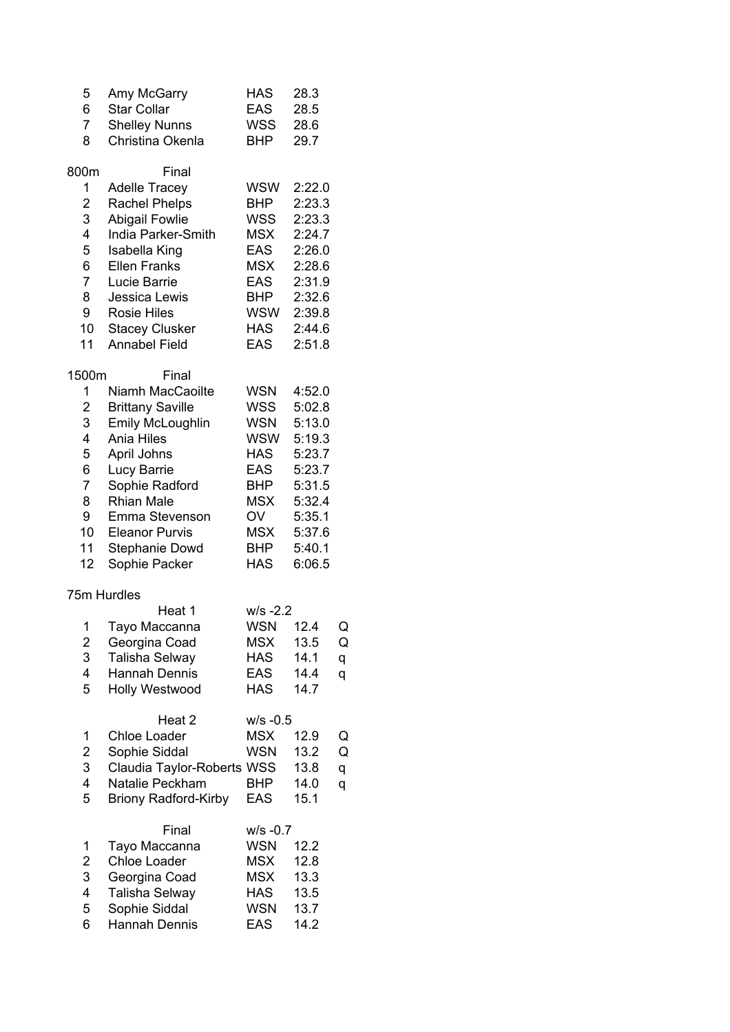| 5<br>6<br>7<br>8                                                     | Amy McGarry<br><b>Star Collar</b><br><b>Shelley Nunns</b><br>Christina Okenla                                                                                                                                                                               | HAS<br><b>EAS</b><br><b>WSS</b><br><b>BHP</b>                                                                                                                | 28.3<br>28.5<br>28.6<br>29.7                                                                                         |                  |
|----------------------------------------------------------------------|-------------------------------------------------------------------------------------------------------------------------------------------------------------------------------------------------------------------------------------------------------------|--------------------------------------------------------------------------------------------------------------------------------------------------------------|----------------------------------------------------------------------------------------------------------------------|------------------|
| 800m<br>1<br>2<br>3<br>4<br>5<br>6<br>7<br>8<br>9<br>10<br>11        | Final<br><b>Adelle Tracey</b><br><b>Rachel Phelps</b><br><b>Abigail Fowlie</b><br>India Parker-Smith<br><b>Isabella King</b><br><b>Ellen Franks</b><br>Lucie Barrie<br>Jessica Lewis<br><b>Rosie Hiles</b><br><b>Stacey Clusker</b><br><b>Annabel Field</b> | <b>WSW</b><br><b>BHP</b><br><b>WSS</b><br><b>MSX</b><br><b>EAS</b><br><b>MSX</b><br><b>EAS</b><br><b>BHP</b><br>WSW<br><b>HAS</b><br><b>EAS</b>              | 2:22.0<br>2:23.3<br>2:23.3<br>2:24.7<br>2:26.0<br>2:28.6<br>2:31.9<br>2:32.6<br>2:39.8<br>2:44.6<br>2:51.8           |                  |
| 1500m<br>1<br>2<br>3<br>4<br>5<br>6<br>7<br>8<br>9<br>10<br>11<br>12 | Final<br>Niamh MacCaoilte<br><b>Brittany Saville</b><br><b>Emily McLoughlin</b><br><b>Ania Hiles</b><br>April Johns<br>Lucy Barrie<br>Sophie Radford<br><b>Rhian Male</b><br>Emma Stevenson<br><b>Eleanor Purvis</b><br>Stephanie Dowd<br>Sophie Packer     | <b>WSN</b><br><b>WSS</b><br><b>WSN</b><br><b>WSW</b><br><b>HAS</b><br><b>EAS</b><br><b>BHP</b><br><b>MSX</b><br>OV<br><b>MSX</b><br><b>BHP</b><br><b>HAS</b> | 4:52.0<br>5:02.8<br>5:13.0<br>5:19.3<br>5:23.7<br>5:23.7<br>5:31.5<br>5:32.4<br>5:35.1<br>5:37.6<br>5:40.1<br>6:06.5 |                  |
| 1<br>2<br>3<br>4<br>5                                                | 75m Hurdles<br>Heat 1<br>Tayo Maccanna<br>Georgina Coad<br>Talisha Selway<br>Hannah Dennis<br>Holly Westwood                                                                                                                                                | $W/S -2.2$<br><b>WSN</b><br>MSX<br><b>HAS</b><br><b>EAS</b><br><b>HAS</b>                                                                                    | 12.4<br>13.5<br>14.1<br>14.4<br>14.7                                                                                 | Q<br>Q<br>q<br>q |
| 1<br>$\overline{\mathbf{c}}$<br>3<br>4<br>5                          | Heat 2<br><b>Chloe Loader</b><br>Sophie Siddal<br>Claudia Taylor-Roberts WSS<br>Natalie Peckham<br><b>Briony Radford-Kirby</b>                                                                                                                              | $W/S -0.5$<br><b>MSX</b><br><b>WSN</b><br><b>BHP</b><br>EAS                                                                                                  | 12.9<br>13.2<br>13.8<br>14.0<br>15.1                                                                                 | Q<br>Q<br>q<br>q |
| 1<br>$\overline{\mathbf{c}}$<br>3<br>4<br>5<br>6                     | Final<br>Tayo Maccanna<br>Chloe Loader<br>Georgina Coad<br><b>Talisha Selway</b><br>Sophie Siddal<br>Hannah Dennis                                                                                                                                          | $W/S -0.7$<br><b>WSN</b><br><b>MSX</b><br><b>MSX</b><br><b>HAS</b><br><b>WSN</b><br><b>EAS</b>                                                               | 12.2<br>12.8<br>13.3<br>13.5<br>13.7<br>14.2                                                                         |                  |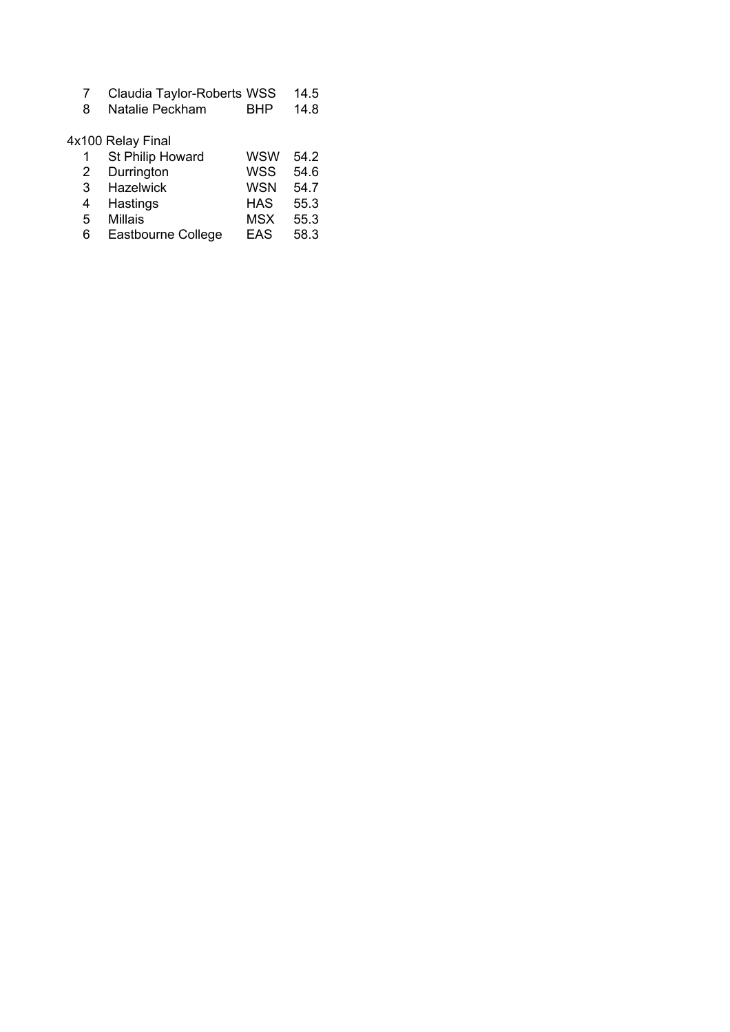Natalie Peckham BHP 14.8

# 4x100 Relay Final

| 1 | St Philip Howard   | wsw        | 54.2 |
|---|--------------------|------------|------|
| 2 | Durrington         | <b>WSS</b> | 54.6 |
| 3 | <b>Hazelwick</b>   | <b>WSN</b> | 54.7 |
| 4 | Hastings           | <b>HAS</b> | 55.3 |
| 5 | <b>Millais</b>     | <b>MSX</b> | 55.3 |
| 6 | Eastbourne College | <b>EAS</b> | 58.3 |
|   |                    |            |      |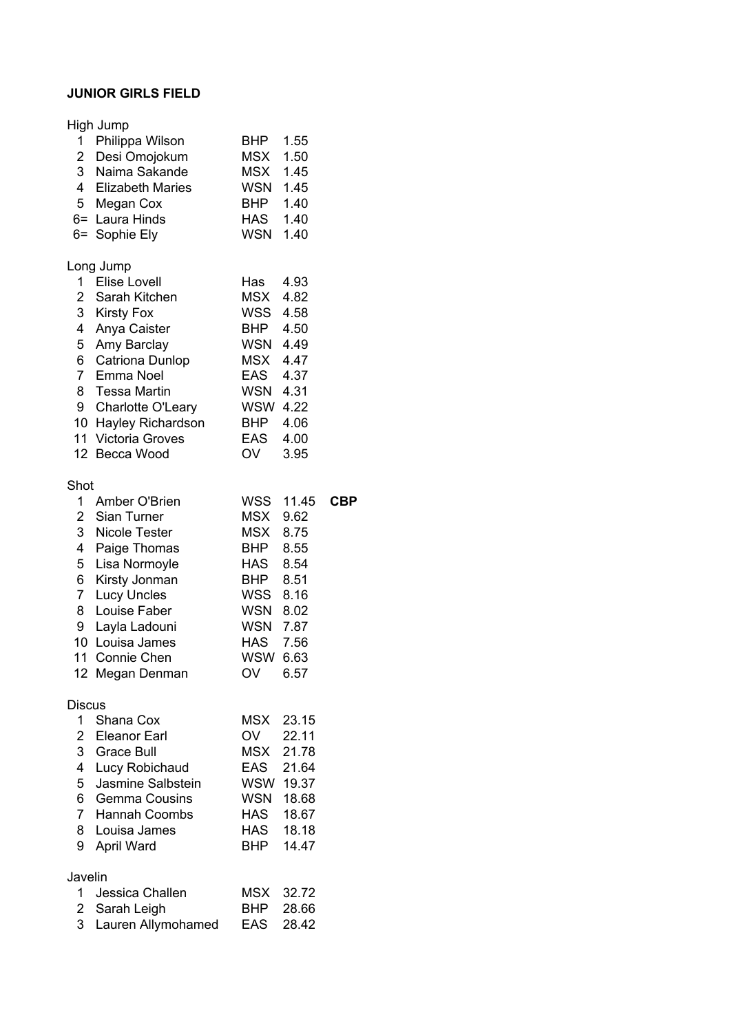## **JUNIOR GIRLS FIELD**

|                     | High Jump                           |                 |       |  |
|---------------------|-------------------------------------|-----------------|-------|--|
| 1.                  | Philippa Wilson                     | <b>BHP</b>      | 1.55  |  |
| $\overline{2}$      | Desi Omojokum                       | MSX             | 1.50  |  |
| 3 <sup>1</sup>      | Naima Sakande                       | MSX             | 1.45  |  |
|                     | 4 Elizabeth Maries                  | <b>WSN</b>      | 1.45  |  |
| 5 <sup>5</sup>      | Megan Cox                           | <b>BHP</b>      | 1.40  |  |
| $6=$                | Laura Hinds                         | HAS             | 1.40  |  |
| $6=$                | Sophie Ely                          | <b>WSN</b>      | 1.40  |  |
|                     | Long Jump                           |                 |       |  |
| $1 \quad$           | <b>Elise Lovell</b>                 | Has             | 4.93  |  |
|                     | 2 Sarah Kitchen                     | <b>MSX</b>      | 4.82  |  |
| 3                   | <b>Kirsty Fox</b>                   | WSS             | 4.58  |  |
| 4                   | Anya Caister                        | <b>BHP</b>      | 4.50  |  |
| 5                   | Amy Barclay                         | WSN             | 4.49  |  |
| 6                   | Catriona Dunlop                     | <b>MSX</b>      | 4.47  |  |
|                     | 7 Emma Noel                         | EAS             | 4.37  |  |
| 8                   | <b>Tessa Martin</b>                 | WSN 4.31        |       |  |
| 9                   | Charlotte O'Leary                   | <b>WSW 4.22</b> |       |  |
|                     | 10 Hayley Richardson                | <b>BHP</b>      | 4.06  |  |
| 11                  | <b>Victoria Groves</b>              | <b>EAS</b>      | 4.00  |  |
| 12 <sup>7</sup>     | Becca Wood                          | <b>OV</b>       | 3.95  |  |
| Shot                |                                     |                 |       |  |
| 1                   | Amber O'Brien                       | WSS             | 11.45 |  |
| $\overline{2}$      | Sian Turner                         | MSX             | 9.62  |  |
| $\mathbf{3}$        | <b>Nicole Tester</b>                | <b>MSX</b>      | 8.75  |  |
| $\overline{4}$      | Paige Thomas                        | <b>BHP</b>      | 8.55  |  |
| 5                   | Lisa Normoyle                       | <b>HAS</b>      | 8.54  |  |
| 6                   | Kirsty Jonman                       | <b>BHP</b>      | 8.51  |  |
| $\overline{7}$      | <b>Lucy Uncles</b>                  | WSS             | 8.16  |  |
| 8                   | Louise Faber                        | WSN             | 8.02  |  |
| 9                   | Layla Ladouni                       | <b>WSN</b>      | 7.87  |  |
| 10                  | Louisa James                        | HAS             | 7.56  |  |
| 11                  | Connie Chen                         | <b>WSW</b>      | 6.63  |  |
|                     | 12 Megan Denman                     | OV              | 6.57  |  |
|                     |                                     |                 |       |  |
| Discus<br>$1 \quad$ | Shana Cox                           | MSX             | 23.15 |  |
|                     | 2 Eleanor Earl                      | OV              | 22.11 |  |
|                     | 3 Grace Bull                        | <b>MSX</b>      | 21.78 |  |
| 4 <sup>1</sup>      |                                     | EAS             | 21.64 |  |
| 5                   | Lucy Robichaud<br>Jasmine Salbstein | WSW             | 19.37 |  |
|                     | 6 Gemma Cousins                     | <b>WSN</b>      | 18.68 |  |
|                     | 7 Hannah Coombs                     | <b>HAS</b>      | 18.67 |  |
| 8                   | Louisa James                        | HAS             | 18.18 |  |
| 9                   | April Ward                          | <b>BHP</b>      | 14.47 |  |
|                     |                                     |                 |       |  |
| Javelin             |                                     |                 |       |  |
| 1                   | Jessica Challen                     | MSX             | 32.72 |  |
| $\overline{2}$      | Sarah Leigh                         | BHP             | 28.66 |  |
| 3                   | Lauren Allymohamed                  | <b>EAS</b>      | 28.42 |  |

 $CBP$